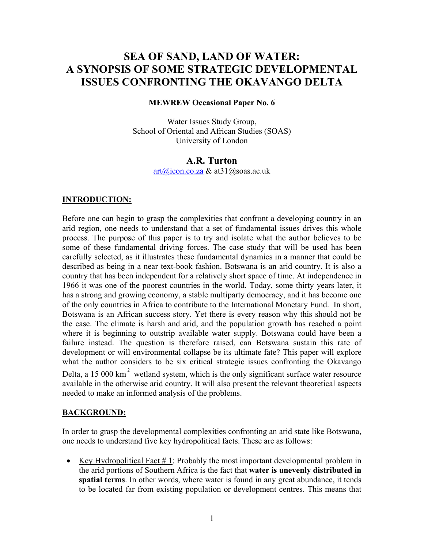# **SEA OF SAND, LAND OF WATER: A SYNOPSIS OF SOME STRATEGIC DEVELOPMENTAL ISSUES CONFRONTING THE OKAVANGO DELTA**

#### **MEWREW Occasional Paper No. 6**

Water Issues Study Group, School of Oriental and African Studies (SOAS) University of London

#### **A.R. Turton**

[art@icon.co.za](mailto:art@icon.co.za) & at31@soas.ac.uk

#### **INTRODUCTION:**

Before one can begin to grasp the complexities that confront a developing country in an arid region, one needs to understand that a set of fundamental issues drives this whole process. The purpose of this paper is to try and isolate what the author believes to be some of these fundamental driving forces. The case study that will be used has been carefully selected, as it illustrates these fundamental dynamics in a manner that could be described as being in a near text-book fashion. Botswana is an arid country. It is also a country that has been independent for a relatively short space of time. At independence in 1966 it was one of the poorest countries in the world. Today, some thirty years later, it has a strong and growing economy, a stable multiparty democracy, and it has become one of the only countries in Africa to contribute to the International Monetary Fund. In short, Botswana is an African success story. Yet there is every reason why this should not be the case. The climate is harsh and arid, and the population growth has reached a point where it is beginning to outstrip available water supply. Botswana could have been a failure instead. The question is therefore raised, can Botswana sustain this rate of development or will environmental collapse be its ultimate fate? This paper will explore what the author considers to be six critical strategic issues confronting the Okavango Delta, a 15 000 km<sup>2</sup> wetland system, which is the only significant surface water resource available in the otherwise arid country. It will also present the relevant theoretical aspects needed to make an informed analysis of the problems.

#### **BACKGROUND:**

In order to grasp the developmental complexities confronting an arid state like Botswana, one needs to understand five key hydropolitical facts. These are as follows:

• Key Hydropolitical Fact # 1: Probably the most important developmental problem in the arid portions of Southern Africa is the fact that **water is unevenly distributed in spatial terms**. In other words, where water is found in any great abundance, it tends to be located far from existing population or development centres. This means that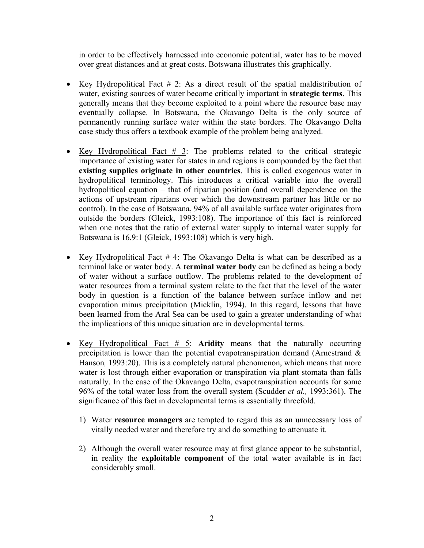in order to be effectively harnessed into economic potential, water has to be moved over great distances and at great costs. Botswana illustrates this graphically.

- Key Hydropolitical Fact  $\#$  2: As a direct result of the spatial maldistribution of water, existing sources of water become critically important in **strategic terms**. This generally means that they become exploited to a point where the resource base may eventually collapse. In Botswana, the Okavango Delta is the only source of permanently running surface water within the state borders. The Okavango Delta case study thus offers a textbook example of the problem being analyzed.
- Key Hydropolitical Fact  $\#$  3: The problems related to the critical strategic importance of existing water for states in arid regions is compounded by the fact that **existing supplies originate in other countries**. This is called exogenous water in hydropolitical terminology. This introduces a critical variable into the overall hydropolitical equation – that of riparian position (and overall dependence on the actions of upstream riparians over which the downstream partner has little or no control). In the case of Botswana, 94% of all available surface water originates from outside the borders (Gleick, 1993:108). The importance of this fact is reinforced when one notes that the ratio of external water supply to internal water supply for Botswana is 16.9:1 (Gleick, 1993:108) which is very high.
- Key Hydropolitical Fact # 4: The Okavango Delta is what can be described as a terminal lake or water body. A **terminal water body** can be defined as being a body of water without a surface outflow. The problems related to the development of water resources from a terminal system relate to the fact that the level of the water body in question is a function of the balance between surface inflow and net evaporation minus precipitation (Micklin, 1994). In this regard, lessons that have been learned from the Aral Sea can be used to gain a greater understanding of what the implications of this unique situation are in developmental terms.
- Key Hydropolitical Fact # 5: **Aridity** means that the naturally occurring precipitation is lower than the potential evapotranspiration demand (Arnestrand & Hanson*,* 1993:20). This is a completely natural phenomenon, which means that more water is lost through either evaporation or transpiration via plant stomata than falls naturally. In the case of the Okavango Delta, evapotranspiration accounts for some 96% of the total water loss from the overall system (Scudder *et al.,* 1993:361). The significance of this fact in developmental terms is essentially threefold.
	- 1) Water **resource managers** are tempted to regard this as an unnecessary loss of vitally needed water and therefore try and do something to attenuate it.
	- 2) Although the overall water resource may at first glance appear to be substantial, in reality the **exploitable component** of the total water available is in fact considerably small.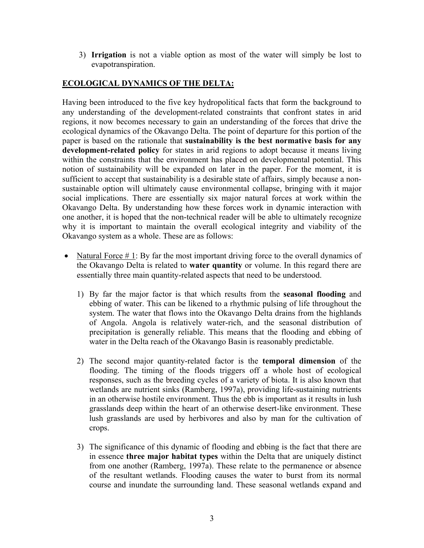3) **Irrigation** is not a viable option as most of the water will simply be lost to evapotranspiration.

## **ECOLOGICAL DYNAMICS OF THE DELTA:**

Having been introduced to the five key hydropolitical facts that form the background to any understanding of the development-related constraints that confront states in arid regions, it now becomes necessary to gain an understanding of the forces that drive the ecological dynamics of the Okavango Delta. The point of departure for this portion of the paper is based on the rationale that **sustainability is the best normative basis for any development-related policy** for states in arid regions to adopt because it means living within the constraints that the environment has placed on developmental potential. This notion of sustainability will be expanded on later in the paper. For the moment, it is sufficient to accept that sustainability is a desirable state of affairs, simply because a nonsustainable option will ultimately cause environmental collapse, bringing with it major social implications. There are essentially six major natural forces at work within the Okavango Delta. By understanding how these forces work in dynamic interaction with one another, it is hoped that the non-technical reader will be able to ultimately recognize why it is important to maintain the overall ecological integrity and viability of the Okavango system as a whole. These are as follows:

- Natural Force  $# 1$ : By far the most important driving force to the overall dynamics of the Okavango Delta is related to **water quantity** or volume. In this regard there are essentially three main quantity-related aspects that need to be understood.
	- 1) By far the major factor is that which results from the **seasonal flooding** and ebbing of water. This can be likened to a rhythmic pulsing of life throughout the system. The water that flows into the Okavango Delta drains from the highlands of Angola. Angola is relatively water-rich, and the seasonal distribution of precipitation is generally reliable. This means that the flooding and ebbing of water in the Delta reach of the Okavango Basin is reasonably predictable.
	- 2) The second major quantity-related factor is the **temporal dimension** of the flooding. The timing of the floods triggers off a whole host of ecological responses, such as the breeding cycles of a variety of biota. It is also known that wetlands are nutrient sinks (Ramberg, 1997a), providing life-sustaining nutrients in an otherwise hostile environment. Thus the ebb is important as it results in lush grasslands deep within the heart of an otherwise desert-like environment. These lush grasslands are used by herbivores and also by man for the cultivation of crops.
	- 3) The significance of this dynamic of flooding and ebbing is the fact that there are in essence **three major habitat types** within the Delta that are uniquely distinct from one another (Ramberg, 1997a). These relate to the permanence or absence of the resultant wetlands. Flooding causes the water to burst from its normal course and inundate the surrounding land. These seasonal wetlands expand and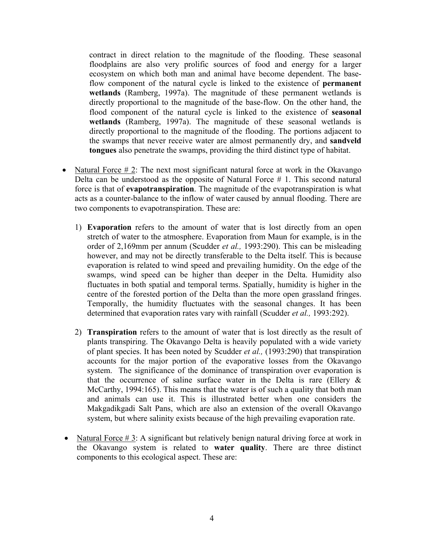contract in direct relation to the magnitude of the flooding. These seasonal floodplains are also very prolific sources of food and energy for a larger ecosystem on which both man and animal have become dependent. The baseflow component of the natural cycle is linked to the existence of **permanent wetlands** (Ramberg, 1997a). The magnitude of these permanent wetlands is directly proportional to the magnitude of the base-flow. On the other hand, the flood component of the natural cycle is linked to the existence of **seasonal wetlands** (Ramberg, 1997a). The magnitude of these seasonal wetlands is directly proportional to the magnitude of the flooding. The portions adjacent to the swamps that never receive water are almost permanently dry, and **sandveld tongues** also penetrate the swamps, providing the third distinct type of habitat.

- Natural Force  $\# 2$ : The next most significant natural force at work in the Okavango Delta can be understood as the opposite of Natural Force # 1. This second natural force is that of **evapotranspiration**. The magnitude of the evapotranspiration is what acts as a counter-balance to the inflow of water caused by annual flooding. There are two components to evapotranspiration. These are:
	- 1) **Evaporation** refers to the amount of water that is lost directly from an open stretch of water to the atmosphere. Evaporation from Maun for example, is in the order of 2,169mm per annum (Scudder *et al.,* 1993:290). This can be misleading however, and may not be directly transferable to the Delta itself. This is because evaporation is related to wind speed and prevailing humidity. On the edge of the swamps, wind speed can be higher than deeper in the Delta. Humidity also fluctuates in both spatial and temporal terms. Spatially, humidity is higher in the centre of the forested portion of the Delta than the more open grassland fringes. Temporally, the humidity fluctuates with the seasonal changes. It has been determined that evaporation rates vary with rainfall (Scudder *et al.,* 1993:292).
	- 2) **Transpiration** refers to the amount of water that is lost directly as the result of plants transpiring. The Okavango Delta is heavily populated with a wide variety of plant species. It has been noted by Scudder *et al.,* (1993:290) that transpiration accounts for the major portion of the evaporative losses from the Okavango system. The significance of the dominance of transpiration over evaporation is that the occurrence of saline surface water in the Delta is rare (Ellery  $\&$ McCarthy, 1994:165). This means that the water is of such a quality that both man and animals can use it. This is illustrated better when one considers the Makgadikgadi Salt Pans, which are also an extension of the overall Okavango system, but where salinity exists because of the high prevailing evaporation rate.
- Natural Force  $\# 3$ : A significant but relatively benign natural driving force at work in the Okavango system is related to **water quality**. There are three distinct components to this ecological aspect. These are: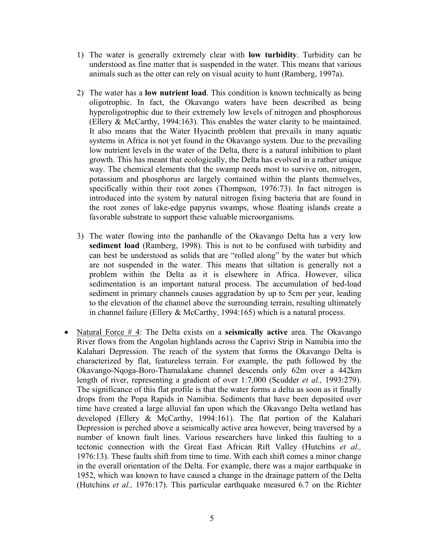- 1) The water is generally extremely clear with **low turbidity**. Turbidity can be understood as fine matter that is suspended in the water. This means that various animals such as the otter can rely on visual acuity to hunt (Ramberg, 1997a).
- 2) The water has a **low nutrient load**. This condition is known technically as being oligotrophic. In fact, the Okavango waters have been described as being hyperoligotrophic due to their extremely low levels of nitrogen and phosphorous (Ellery & McCarthy, 1994:163). This enables the water clarity to be maintained. It also means that the Water Hyacinth problem that prevails in many aquatic systems in Africa is not yet found in the Okavango system. Due to the prevailing low nutrient levels in the water of the Delta, there is a natural inhibition to plant growth. This has meant that ecologically, the Delta has evolved in a rather unique way. The chemical elements that the swamp needs most to survive on, nitrogen, potassium and phosphorus are largely contained within the plants themselves, specifically within their root zones (Thompson, 1976:73). In fact nitrogen is introduced into the system by natural nitrogen fixing bacteria that are found in the root zones of lake-edge papyrus swamps, whose floating islands create a favorable substrate to support these valuable microorganisms.
- 3) The water flowing into the panhandle of the Okavango Delta has a very low **sediment load** (Ramberg, 1998). This is not to be confused with turbidity and can best be understood as solids that are "rolled along" by the water but which are not suspended in the water. This means that siltation is generally not a problem within the Delta as it is elsewhere in Africa. However, silica sedimentation is an important natural process. The accumulation of bed-load sediment in primary channels causes aggradation by up to 5cm per year, leading to the elevation of the channel above the surrounding terrain, resulting ultimately in channel failure (Ellery & McCarthy, 1994:165) which is a natural process.
- Natural Force # 4: The Delta exists on a **seismically active** area. The Okavango River flows from the Angolan highlands across the Caprivi Strip in Namibia into the Kalahari Depression. The reach of the system that forms the Okavango Delta is characterized by flat, featureless terrain. For example, the path followed by the Okavango-Nqoga-Boro-Thamalakane channel descends only 62m over a 442km length of river, representing a gradient of over 1:7,000 (Scudder *et al.,* 1993:279). The significance of this flat profile is that the water forms a delta as soon as it finally drops from the Popa Rapids in Namibia. Sediments that have been deposited over time have created a large alluvial fan upon which the Okavango Delta wetland has developed (Ellery & McCarthy, 1994:161). The flat portion of the Kalahari Depression is perched above a seismically active area however, being traversed by a number of known fault lines. Various researchers have linked this faulting to a tectonic connection with the Great East African Rift Valley (Hutchins *et al.,* 1976:13). These faults shift from time to time. With each shift comes a minor change in the overall orientation of the Delta. For example, there was a major earthquake in 1952, which was known to have caused a change in the drainage pattern of the Delta (Hutchins *et al.,* 1976:17). This particular earthquake measured 6.7 on the Richter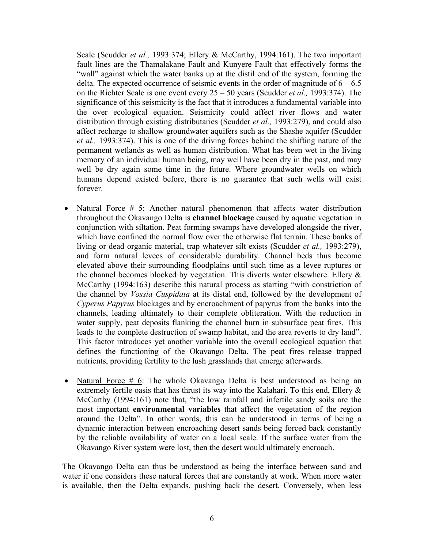Scale (Scudder *et al.,* 1993:374; Ellery & McCarthy, 1994:161). The two important fault lines are the Thamalakane Fault and Kunyere Fault that effectively forms the "wall" against which the water banks up at the distil end of the system, forming the delta. The expected occurrence of seismic events in the order of magnitude of  $6 - 6.5$ on the Richter Scale is one event every 25 – 50 years (Scudder *et al.,* 1993:374). The significance of this seismicity is the fact that it introduces a fundamental variable into the over ecological equation. Seismicity could affect river flows and water distribution through existing distributaries (Scudder *et al.,* 1993:279), and could also affect recharge to shallow groundwater aquifers such as the Shashe aquifer (Scudder *et al.,* 1993:374). This is one of the driving forces behind the shifting nature of the permanent wetlands as well as human distribution. What has been wet in the living memory of an individual human being, may well have been dry in the past, and may well be dry again some time in the future. Where groundwater wells on which humans depend existed before, there is no guarantee that such wells will exist forever.

- Natural Force # 5: Another natural phenomenon that affects water distribution throughout the Okavango Delta is **channel blockage** caused by aquatic vegetation in conjunction with siltation. Peat forming swamps have developed alongside the river, which have confined the normal flow over the otherwise flat terrain. These banks of living or dead organic material, trap whatever silt exists (Scudder *et al.,* 1993:279), and form natural levees of considerable durability. Channel beds thus become elevated above their surrounding floodplains until such time as a levee ruptures or the channel becomes blocked by vegetation. This diverts water elsewhere. Ellery  $\&$ McCarthy (1994:163) describe this natural process as starting "with constriction of the channel by *Vossia Cuspidata* at its distal end, followed by the development of *Cyperus Papyrus* blockages and by encroachment of papyrus from the banks into the channels, leading ultimately to their complete obliteration. With the reduction in water supply, peat deposits flanking the channel burn in subsurface peat fires. This leads to the complete destruction of swamp habitat, and the area reverts to dry land". This factor introduces yet another variable into the overall ecological equation that defines the functioning of the Okavango Delta. The peat fires release trapped nutrients, providing fertility to the lush grasslands that emerge afterwards.
- Natural Force # 6: The whole Okavango Delta is best understood as being an extremely fertile oasis that has thrust its way into the Kalahari. To this end, Ellery  $\&$ McCarthy (1994:161) note that, "the low rainfall and infertile sandy soils are the most important **environmental variables** that affect the vegetation of the region around the Delta". In other words, this can be understood in terms of being a dynamic interaction between encroaching desert sands being forced back constantly by the reliable availability of water on a local scale. If the surface water from the Okavango River system were lost, then the desert would ultimately encroach.

The Okavango Delta can thus be understood as being the interface between sand and water if one considers these natural forces that are constantly at work. When more water is available, then the Delta expands, pushing back the desert. Conversely, when less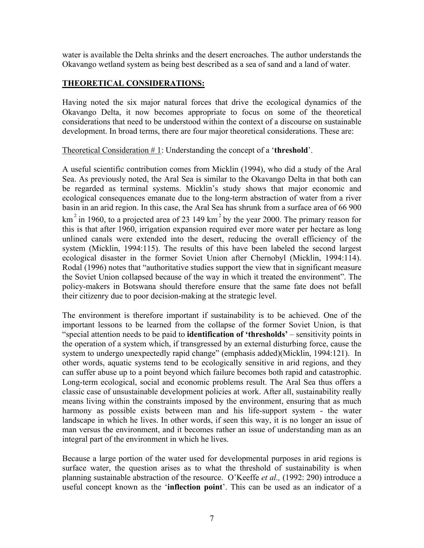water is available the Delta shrinks and the desert encroaches. The author understands the Okavango wetland system as being best described as a sea of sand and a land of water.

## **THEORETICAL CONSIDERATIONS:**

Having noted the six major natural forces that drive the ecological dynamics of the Okavango Delta, it now becomes appropriate to focus on some of the theoretical considerations that need to be understood within the context of a discourse on sustainable development. In broad terms, there are four major theoretical considerations. These are:

Theoretical Consideration # 1: Understanding the concept of a '**threshold**'.

A useful scientific contribution comes from Micklin (1994), who did a study of the Aral Sea. As previously noted, the Aral Sea is similar to the Okavango Delta in that both can be regarded as terminal systems. Micklin's study shows that major economic and ecological consequences emanate due to the long-term abstraction of water from a river basin in an arid region. In this case, the Aral Sea has shrunk from a surface area of 66 900 km<sup>2</sup> in 1960, to a projected area of 23 149 km<sup>2</sup> by the year 2000. The primary reason for this is that after 1960, irrigation expansion required ever more water per hectare as long unlined canals were extended into the desert, reducing the overall efficiency of the system (Micklin, 1994:115). The results of this have been labeled the second largest ecological disaster in the former Soviet Union after Chernobyl (Micklin, 1994:114). Rodal (1996) notes that "authoritative studies support the view that in significant measure the Soviet Union collapsed because of the way in which it treated the environment". The policy-makers in Botswana should therefore ensure that the same fate does not befall their citizenry due to poor decision-making at the strategic level.

The environment is therefore important if sustainability is to be achieved. One of the important lessons to be learned from the collapse of the former Soviet Union, is that "special attention needs to be paid to **identification of 'thresholds'** – sensitivity points in the operation of a system which, if transgressed by an external disturbing force, cause the system to undergo unexpectedly rapid change" (emphasis added)(Micklin, 1994:121). In other words, aquatic systems tend to be ecologically sensitive in arid regions, and they can suffer abuse up to a point beyond which failure becomes both rapid and catastrophic. Long-term ecological, social and economic problems result. The Aral Sea thus offers a classic case of unsustainable development policies at work. After all, sustainability really means living within the constraints imposed by the environment, ensuring that as much harmony as possible exists between man and his life-support system - the water landscape in which he lives. In other words, if seen this way, it is no longer an issue of man versus the environment, and it becomes rather an issue of understanding man as an integral part of the environment in which he lives.

Because a large portion of the water used for developmental purposes in arid regions is surface water, the question arises as to what the threshold of sustainability is when planning sustainable abstraction of the resource. O'Keeffe *et al.,* (1992: 290) introduce a useful concept known as the '**inflection point**'. This can be used as an indicator of a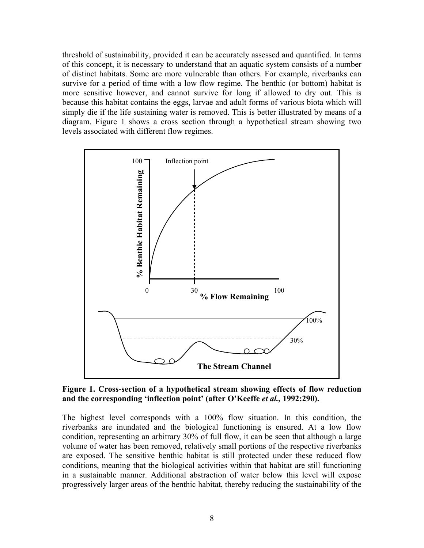threshold of sustainability, provided it can be accurately assessed and quantified. In terms of this concept, it is necessary to understand that an aquatic system consists of a number of distinct habitats. Some are more vulnerable than others. For example, riverbanks can survive for a period of time with a low flow regime. The benthic (or bottom) habitat is more sensitive however, and cannot survive for long if allowed to dry out. This is because this habitat contains the eggs, larvae and adult forms of various biota which will simply die if the life sustaining water is removed. This is better illustrated by means of a diagram. Figure 1 shows a cross section through a hypothetical stream showing two levels associated with different flow regimes.



**Figure 1. Cross-section of a hypothetical stream showing effects of flow reduction and the corresponding 'inflection point' (after O'Keeffe** *et al.,* **1992:290).**

The highest level corresponds with a 100% flow situation. In this condition, the riverbanks are inundated and the biological functioning is ensured. At a low flow condition, representing an arbitrary 30% of full flow, it can be seen that although a large volume of water has been removed, relatively small portions of the respective riverbanks are exposed. The sensitive benthic habitat is still protected under these reduced flow conditions, meaning that the biological activities within that habitat are still functioning in a sustainable manner. Additional abstraction of water below this level will expose progressively larger areas of the benthic habitat, thereby reducing the sustainability of the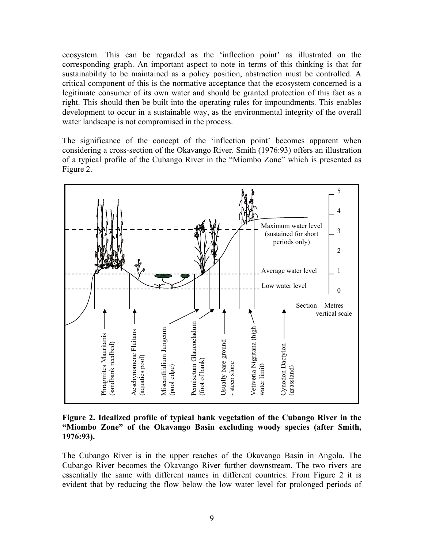ecosystem. This can be regarded as the 'inflection point' as illustrated on the corresponding graph. An important aspect to note in terms of this thinking is that for sustainability to be maintained as a policy position, abstraction must be controlled. A critical component of this is the normative acceptance that the ecosystem concerned is a legitimate consumer of its own water and should be granted protection of this fact as a right. This should then be built into the operating rules for impoundments. This enables development to occur in a sustainable way, as the environmental integrity of the overall water landscape is not compromised in the process.

The significance of the concept of the 'inflection point' becomes apparent when considering a cross-section of the Okavango River. Smith (1976:93) offers an illustration of a typical profile of the Cubango River in the "Miombo Zone" which is presented as Figure 2.



**Figure 2. Idealized profile of typical bank vegetation of the Cubango River in the "Miombo Zone" of the Okavango Basin excluding woody species (after Smith, 1976:93).** 

The Cubango River is in the upper reaches of the Okavango Basin in Angola. The Cubango River becomes the Okavango River further downstream. The two rivers are essentially the same with different names in different countries. From Figure 2 it is evident that by reducing the flow below the low water level for prolonged periods of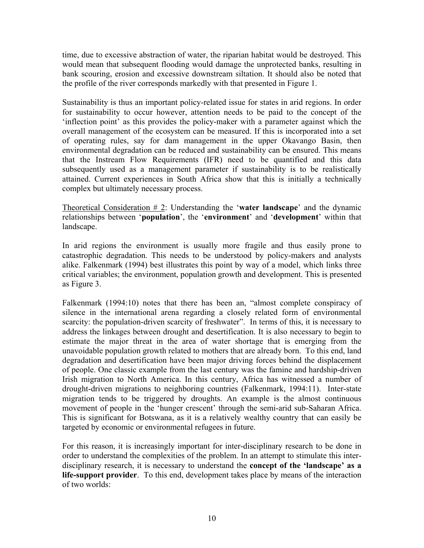time, due to excessive abstraction of water, the riparian habitat would be destroyed. This would mean that subsequent flooding would damage the unprotected banks, resulting in bank scouring, erosion and excessive downstream siltation. It should also be noted that the profile of the river corresponds markedly with that presented in Figure 1.

Sustainability is thus an important policy-related issue for states in arid regions. In order for sustainability to occur however, attention needs to be paid to the concept of the 'inflection point' as this provides the policy-maker with a parameter against which the overall management of the ecosystem can be measured. If this is incorporated into a set of operating rules, say for dam management in the upper Okavango Basin, then environmental degradation can be reduced and sustainability can be ensured. This means that the Instream Flow Requirements (IFR) need to be quantified and this data subsequently used as a management parameter if sustainability is to be realistically attained. Current experiences in South Africa show that this is initially a technically complex but ultimately necessary process.

Theoretical Consideration # 2: Understanding the '**water landscape**' and the dynamic relationships between '**population**', the '**environment**' and '**development**' within that landscape.

In arid regions the environment is usually more fragile and thus easily prone to catastrophic degradation. This needs to be understood by policy-makers and analysts alike. Falkenmark (1994) best illustrates this point by way of a model, which links three critical variables; the environment, population growth and development. This is presented as Figure 3.

Falkenmark (1994:10) notes that there has been an, "almost complete conspiracy of silence in the international arena regarding a closely related form of environmental scarcity: the population-driven scarcity of freshwater". In terms of this, it is necessary to address the linkages between drought and desertification. It is also necessary to begin to estimate the major threat in the area of water shortage that is emerging from the unavoidable population growth related to mothers that are already born. To this end, land degradation and desertification have been major driving forces behind the displacement of people. One classic example from the last century was the famine and hardship-driven Irish migration to North America. In this century, Africa has witnessed a number of drought-driven migrations to neighboring countries (Falkenmark, 1994:11). Inter-state migration tends to be triggered by droughts. An example is the almost continuous movement of people in the 'hunger crescent' through the semi-arid sub-Saharan Africa. This is significant for Botswana, as it is a relatively wealthy country that can easily be targeted by economic or environmental refugees in future.

For this reason, it is increasingly important for inter-disciplinary research to be done in order to understand the complexities of the problem. In an attempt to stimulate this interdisciplinary research, it is necessary to understand the **concept of the 'landscape' as a life-support provider**. To this end, development takes place by means of the interaction of two worlds: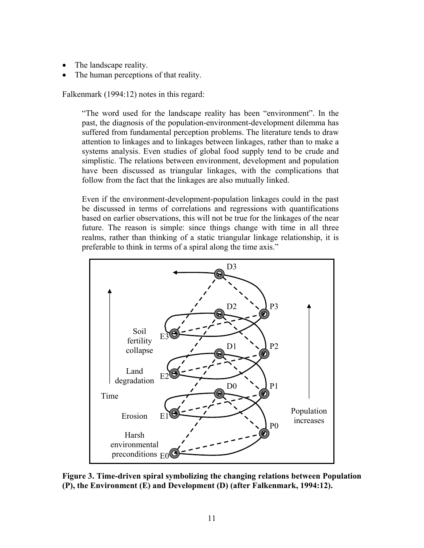- The landscape reality.
- The human perceptions of that reality.

Falkenmark (1994:12) notes in this regard:

"The word used for the landscape reality has been "environment". In the past, the diagnosis of the population-environment-development dilemma has suffered from fundamental perception problems. The literature tends to draw attention to linkages and to linkages between linkages, rather than to make a systems analysis. Even studies of global food supply tend to be crude and simplistic. The relations between environment, development and population have been discussed as triangular linkages, with the complications that follow from the fact that the linkages are also mutually linked.

Even if the environment-development-population linkages could in the past be discussed in terms of correlations and regressions with quantifications based on earlier observations, this will not be true for the linkages of the near future. The reason is simple: since things change with time in all three realms, rather than thinking of a static triangular linkage relationship, it is preferable to think in terms of a spiral along the time axis."



**Figure 3. Time-driven spiral symbolizing the changing relations between Population (P), the Environment (E) and Development (D) (after Falkenmark, 1994:12).**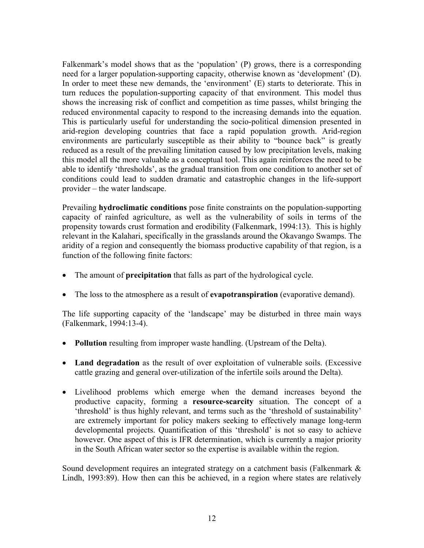Falkenmark's model shows that as the 'population' (P) grows, there is a corresponding need for a larger population-supporting capacity, otherwise known as 'development' (D). In order to meet these new demands, the 'environment' (E) starts to deteriorate. This in turn reduces the population-supporting capacity of that environment. This model thus shows the increasing risk of conflict and competition as time passes, whilst bringing the reduced environmental capacity to respond to the increasing demands into the equation. This is particularly useful for understanding the socio-political dimension presented in arid-region developing countries that face a rapid population growth. Arid-region environments are particularly susceptible as their ability to "bounce back" is greatly reduced as a result of the prevailing limitation caused by low precipitation levels, making this model all the more valuable as a conceptual tool. This again reinforces the need to be able to identify 'thresholds', as the gradual transition from one condition to another set of conditions could lead to sudden dramatic and catastrophic changes in the life-support provider – the water landscape.

Prevailing **hydroclimatic conditions** pose finite constraints on the population-supporting capacity of rainfed agriculture, as well as the vulnerability of soils in terms of the propensity towards crust formation and erodibility (Falkenmark, 1994:13). This is highly relevant in the Kalahari, specifically in the grasslands around the Okavango Swamps. The aridity of a region and consequently the biomass productive capability of that region, is a function of the following finite factors:

- The amount of **precipitation** that falls as part of the hydrological cycle.
- The loss to the atmosphere as a result of **evapotranspiration** (evaporative demand).

The life supporting capacity of the 'landscape' may be disturbed in three main ways (Falkenmark, 1994:13-4).

- **Pollution** resulting from improper waste handling. (Upstream of the Delta).
- Land degradation as the result of over exploitation of vulnerable soils. (Excessive cattle grazing and general over-utilization of the infertile soils around the Delta).
- Livelihood problems which emerge when the demand increases beyond the productive capacity, forming a **resource-scarcity** situation. The concept of a 'threshold' is thus highly relevant, and terms such as the 'threshold of sustainability' are extremely important for policy makers seeking to effectively manage long-term developmental projects. Quantification of this 'threshold' is not so easy to achieve however. One aspect of this is IFR determination, which is currently a major priority in the South African water sector so the expertise is available within the region.

Sound development requires an integrated strategy on a catchment basis (Falkenmark  $\&$ Lindh, 1993:89). How then can this be achieved, in a region where states are relatively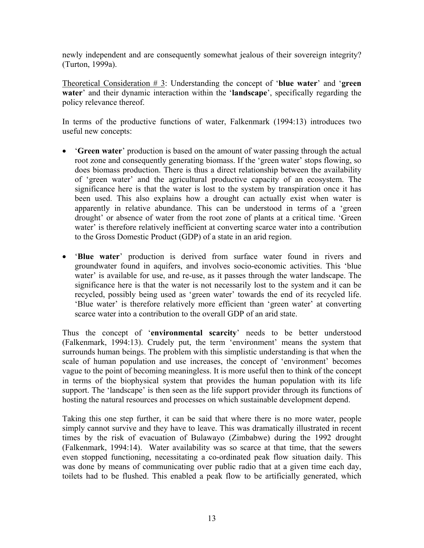newly independent and are consequently somewhat jealous of their sovereign integrity? (Turton, 1999a).

Theoretical Consideration # 3: Understanding the concept of '**blue water**' and '**green water**' and their dynamic interaction within the '**landscape**', specifically regarding the policy relevance thereof.

In terms of the productive functions of water, Falkenmark (1994:13) introduces two useful new concepts:

- '**Green water**' production is based on the amount of water passing through the actual root zone and consequently generating biomass. If the 'green water' stops flowing, so does biomass production. There is thus a direct relationship between the availability of 'green water' and the agricultural productive capacity of an ecosystem. The significance here is that the water is lost to the system by transpiration once it has been used. This also explains how a drought can actually exist when water is apparently in relative abundance. This can be understood in terms of a 'green drought' or absence of water from the root zone of plants at a critical time. 'Green water' is therefore relatively inefficient at converting scarce water into a contribution to the Gross Domestic Product (GDP) of a state in an arid region.
- '**Blue water**' production is derived from surface water found in rivers and groundwater found in aquifers, and involves socio-economic activities. This 'blue water' is available for use, and re-use, as it passes through the water landscape. The significance here is that the water is not necessarily lost to the system and it can be recycled, possibly being used as 'green water' towards the end of its recycled life. 'Blue water' is therefore relatively more efficient than 'green water' at converting scarce water into a contribution to the overall GDP of an arid state.

Thus the concept of '**environmental scarcity**' needs to be better understood (Falkenmark, 1994:13). Crudely put, the term 'environment' means the system that surrounds human beings. The problem with this simplistic understanding is that when the scale of human population and use increases, the concept of 'environment' becomes vague to the point of becoming meaningless. It is more useful then to think of the concept in terms of the biophysical system that provides the human population with its life support. The 'landscape' is then seen as the life support provider through its functions of hosting the natural resources and processes on which sustainable development depend.

Taking this one step further, it can be said that where there is no more water, people simply cannot survive and they have to leave. This was dramatically illustrated in recent times by the risk of evacuation of Bulawayo (Zimbabwe) during the 1992 drought (Falkenmark, 1994:14). Water availability was so scarce at that time, that the sewers even stopped functioning, necessitating a co-ordinated peak flow situation daily. This was done by means of communicating over public radio that at a given time each day, toilets had to be flushed. This enabled a peak flow to be artificially generated, which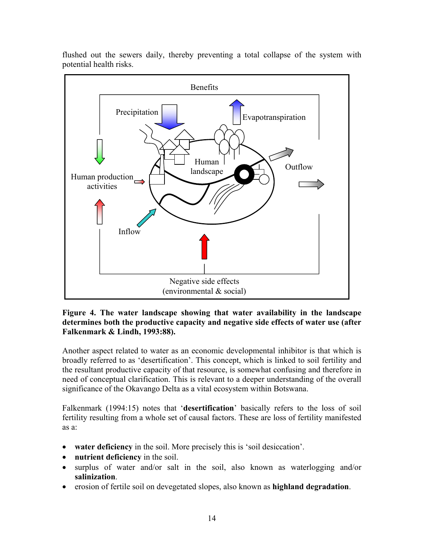

flushed out the sewers daily, thereby preventing a total collapse of the system with potential health risks.

#### **Figure 4. The water landscape showing that water availability in the landscape determines both the productive capacity and negative side effects of water use (after Falkenmark & Lindh, 1993:88).**

Another aspect related to water as an economic developmental inhibitor is that which is broadly referred to as 'desertification'. This concept, which is linked to soil fertility and the resultant productive capacity of that resource, is somewhat confusing and therefore in need of conceptual clarification. This is relevant to a deeper understanding of the overall significance of the Okavango Delta as a vital ecosystem within Botswana.

Falkenmark (1994:15) notes that '**desertification**' basically refers to the loss of soil fertility resulting from a whole set of causal factors. These are loss of fertility manifested as a:

- **water deficiency** in the soil. More precisely this is 'soil desiccation'.
- **nutrient deficiency** in the soil.
- surplus of water and/or salt in the soil, also known as waterlogging and/or **salinization**.
- erosion of fertile soil on devegetated slopes, also known as **highland degradation**.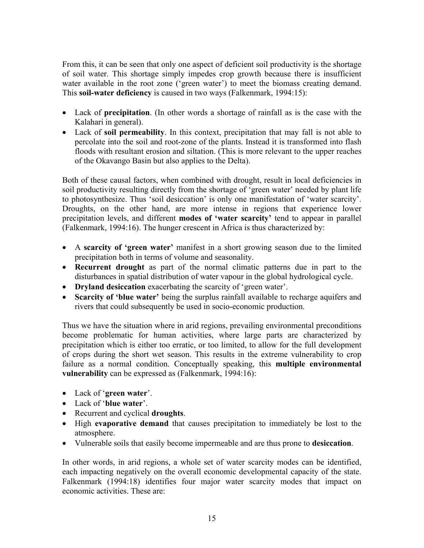From this, it can be seen that only one aspect of deficient soil productivity is the shortage of soil water. This shortage simply impedes crop growth because there is insufficient water available in the root zone ('green water') to meet the biomass creating demand. This **soil-water deficiency** is caused in two ways (Falkenmark, 1994:15):

- Lack of **precipitation**. (In other words a shortage of rainfall as is the case with the Kalahari in general).
- Lack of **soil permeability**. In this context, precipitation that may fall is not able to percolate into the soil and root-zone of the plants. Instead it is transformed into flash floods with resultant erosion and siltation. (This is more relevant to the upper reaches of the Okavango Basin but also applies to the Delta).

Both of these causal factors, when combined with drought, result in local deficiencies in soil productivity resulting directly from the shortage of 'green water' needed by plant life to photosynthesize. Thus 'soil desiccation' is only one manifestation of 'water scarcity'. Droughts, on the other hand, are more intense in regions that experience lower precipitation levels, and different **modes of 'water scarcity'** tend to appear in parallel (Falkenmark, 1994:16). The hunger crescent in Africa is thus characterized by:

- A **scarcity of 'green water'** manifest in a short growing season due to the limited precipitation both in terms of volume and seasonality.
- **Recurrent drought** as part of the normal climatic patterns due in part to the disturbances in spatial distribution of water vapour in the global hydrological cycle.
- **Dryland desiccation** exacerbating the scarcity of 'green water'.
- **Scarcity of 'blue water'** being the surplus rainfall available to recharge aquifers and rivers that could subsequently be used in socio-economic production.

Thus we have the situation where in arid regions, prevailing environmental preconditions become problematic for human activities, where large parts are characterized by precipitation which is either too erratic, or too limited, to allow for the full development of crops during the short wet season. This results in the extreme vulnerability to crop failure as a normal condition. Conceptually speaking, this **multiple environmental vulnerability** can be expressed as (Falkenmark, 1994:16):

- Lack of '**green water**'.
- Lack of '**blue water**'.
- Recurrent and cyclical **droughts**.
- High **evaporative demand** that causes precipitation to immediately be lost to the atmosphere.
- Vulnerable soils that easily become impermeable and are thus prone to **desiccation**.

In other words, in arid regions, a whole set of water scarcity modes can be identified, each impacting negatively on the overall economic developmental capacity of the state. Falkenmark (1994:18) identifies four major water scarcity modes that impact on economic activities. These are: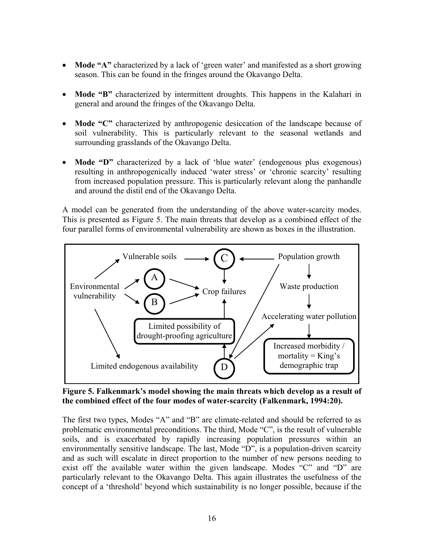- **Mode "A"** characterized by a lack of 'green water' and manifested as a short growing season. This can be found in the fringes around the Okavango Delta.
- **Mode "B"** characterized by intermittent droughts. This happens in the Kalahari in general and around the fringes of the Okavango Delta.
- **Mode "C"** characterized by anthropogenic desiccation of the landscape because of soil vulnerability. This is particularly relevant to the seasonal wetlands and surrounding grasslands of the Okavango Delta.
- **Mode "D"** characterized by a lack of 'blue water' (endogenous plus exogenous) resulting in anthropogenically induced 'water stress' or 'chronic scarcity' resulting from increased population pressure. This is particularly relevant along the panhandle and around the distil end of the Okavango Delta.

A model can be generated from the understanding of the above water-scarcity modes. This is presented as Figure 5. The main threats that develop as a combined effect of the four parallel forms of environmental vulnerability are shown as boxes in the illustration.



**Figure 5. Falkenmark's model showing the main threats which develop as a result of the combined effect of the four modes of water-scarcity (Falkenmark, 1994:20).** 

The first two types, Modes "A" and "B" are climate-related and should be referred to as problematic environmental preconditions. The third, Mode "C", is the result of vulnerable soils, and is exacerbated by rapidly increasing population pressures within an environmentally sensitive landscape. The last, Mode "D", is a population-driven scarcity and as such will escalate in direct proportion to the number of new persons needing to exist off the available water within the given landscape. Modes "C" and "D" are particularly relevant to the Okavango Delta. This again illustrates the usefulness of the concept of a 'threshold' beyond which sustainability is no longer possible, because if the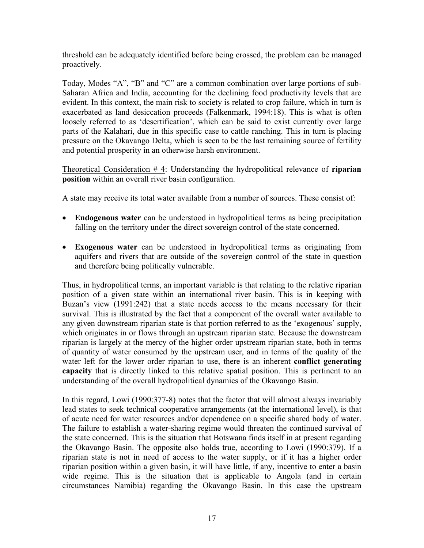threshold can be adequately identified before being crossed, the problem can be managed proactively.

Today, Modes "A", "B" and "C" are a common combination over large portions of sub-Saharan Africa and India, accounting for the declining food productivity levels that are evident. In this context, the main risk to society is related to crop failure, which in turn is exacerbated as land desiccation proceeds (Falkenmark, 1994:18). This is what is often loosely referred to as 'desertification', which can be said to exist currently over large parts of the Kalahari, due in this specific case to cattle ranching. This in turn is placing pressure on the Okavango Delta, which is seen to be the last remaining source of fertility and potential prosperity in an otherwise harsh environment.

Theoretical Consideration # 4: Understanding the hydropolitical relevance of **riparian position** within an overall river basin configuration.

A state may receive its total water available from a number of sources. These consist of:

- **Endogenous water** can be understood in hydropolitical terms as being precipitation falling on the territory under the direct sovereign control of the state concerned.
- **Exogenous water** can be understood in hydropolitical terms as originating from aquifers and rivers that are outside of the sovereign control of the state in question and therefore being politically vulnerable.

Thus, in hydropolitical terms, an important variable is that relating to the relative riparian position of a given state within an international river basin. This is in keeping with Buzan's view (1991:242) that a state needs access to the means necessary for their survival. This is illustrated by the fact that a component of the overall water available to any given downstream riparian state is that portion referred to as the 'exogenous' supply, which originates in or flows through an upstream riparian state. Because the downstream riparian is largely at the mercy of the higher order upstream riparian state, both in terms of quantity of water consumed by the upstream user, and in terms of the quality of the water left for the lower order riparian to use, there is an inherent **conflict generating capacity** that is directly linked to this relative spatial position. This is pertinent to an understanding of the overall hydropolitical dynamics of the Okavango Basin.

In this regard, Lowi (1990:377-8) notes that the factor that will almost always invariably lead states to seek technical cooperative arrangements (at the international level), is that of acute need for water resources and/or dependence on a specific shared body of water. The failure to establish a water-sharing regime would threaten the continued survival of the state concerned. This is the situation that Botswana finds itself in at present regarding the Okavango Basin. The opposite also holds true, according to Lowi (1990:379). If a riparian state is not in need of access to the water supply, or if it has a higher order riparian position within a given basin, it will have little, if any, incentive to enter a basin wide regime. This is the situation that is applicable to Angola (and in certain circumstances Namibia) regarding the Okavango Basin. In this case the upstream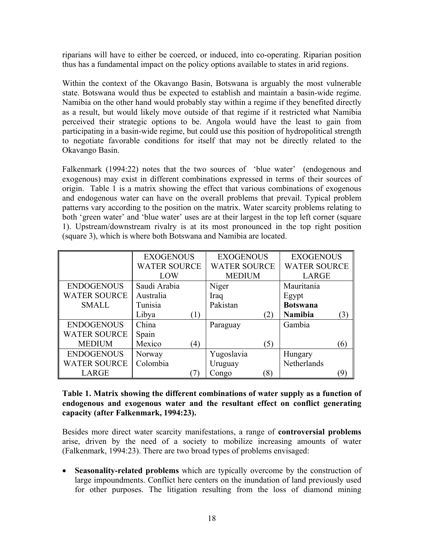riparians will have to either be coerced, or induced, into co-operating. Riparian position thus has a fundamental impact on the policy options available to states in arid regions.

Within the context of the Okavango Basin, Botswana is arguably the most vulnerable state. Botswana would thus be expected to establish and maintain a basin-wide regime. Namibia on the other hand would probably stay within a regime if they benefited directly as a result, but would likely move outside of that regime if it restricted what Namibia perceived their strategic options to be. Angola would have the least to gain from participating in a basin-wide regime, but could use this position of hydropolitical strength to negotiate favorable conditions for itself that may not be directly related to the Okavango Basin.

Falkenmark (1994:22) notes that the two sources of 'blue water' (endogenous and exogenous) may exist in different combinations expressed in terms of their sources of origin. Table 1 is a matrix showing the effect that various combinations of exogenous and endogenous water can have on the overall problems that prevail. Typical problem patterns vary according to the position on the matrix. Water scarcity problems relating to both 'green water' and 'blue water' uses are at their largest in the top left corner (square 1). Upstream/downstream rivalry is at its most pronounced in the top right position (square 3), which is where both Botswana and Namibia are located.

|                     | <b>EXOGENOUS</b>            | <b>EXOGENOUS</b>       | <b>EXOGENOUS</b>     |  |
|---------------------|-----------------------------|------------------------|----------------------|--|
|                     | <b>WATER SOURCE</b>         | <b>WATER SOURCE</b>    | <b>WATER SOURCE</b>  |  |
|                     | LOW                         | <b>MEDIUM</b>          | LARGE                |  |
| <b>ENDOGENOUS</b>   | Saudi Arabia                | Niger                  | Mauritania           |  |
| <b>WATER SOURCE</b> | Australia                   | Iraq                   | Egypt                |  |
| <b>SMALL</b>        | Tunisia                     | Pakistan               | <b>Botswana</b>      |  |
|                     | Libya<br>(1)                | (2)                    | <b>Namibia</b><br>3) |  |
| <b>ENDOGENOUS</b>   | China                       | Paraguay               | Gambia               |  |
| <b>WATER SOURCE</b> | Spain                       |                        |                      |  |
| <b>MEDIUM</b>       | Mexico<br>$\left( 4\right)$ | (5)                    | (6)                  |  |
| <b>ENDOGENOUS</b>   | Norway                      | Yugoslavia             | Hungary              |  |
| <b>WATER SOURCE</b> | Colombia                    | Uruguay                | Netherlands          |  |
| <b>LARGE</b>        |                             | Congo<br>$\mathcal{S}$ |                      |  |

#### **Table 1. Matrix showing the different combinations of water supply as a function of endogenous and exogenous water and the resultant effect on conflict generating capacity (after Falkenmark, 1994:23).**

Besides more direct water scarcity manifestations, a range of **controversial problems** arise, driven by the need of a society to mobilize increasing amounts of water (Falkenmark, 1994:23). There are two broad types of problems envisaged:

• **Seasonality-related problems** which are typically overcome by the construction of large impoundments. Conflict here centers on the inundation of land previously used for other purposes. The litigation resulting from the loss of diamond mining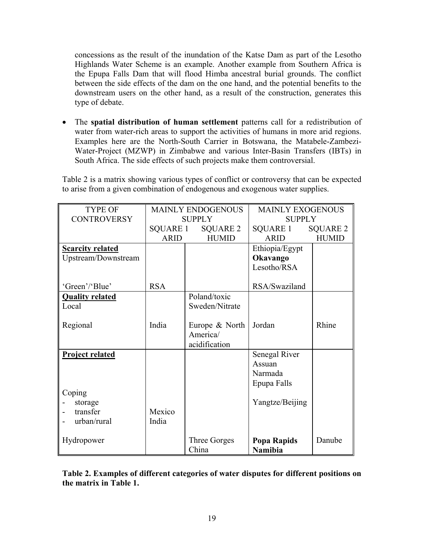concessions as the result of the inundation of the Katse Dam as part of the Lesotho Highlands Water Scheme is an example. Another example from Southern Africa is the Epupa Falls Dam that will flood Himba ancestral burial grounds. The conflict between the side effects of the dam on the one hand, and the potential benefits to the downstream users on the other hand, as a result of the construction, generates this type of debate.

• The **spatial distribution of human settlement** patterns call for a redistribution of water from water-rich areas to support the activities of humans in more arid regions. Examples here are the North-South Carrier in Botswana, the Matabele-Zambezi-Water-Project (MZWP) in Zimbabwe and various Inter-Basin Transfers (IBTs) in South Africa. The side effects of such projects make them controversial.

Table 2 is a matrix showing various types of conflict or controversy that can be expected to arise from a given combination of endogenous and exogenous water supplies.

| <b>TYPE OF</b>          | <b>MAINLY ENDOGENOUS</b> |                   | <b>MAINLY EXOGENOUS</b> |              |
|-------------------------|--------------------------|-------------------|-------------------------|--------------|
| <b>CONTROVERSY</b>      | <b>SUPPLY</b>            |                   | <b>SUPPLY</b>           |              |
|                         |                          | SQUARE 1 SQUARE 2 | SQUARE 1                | SQUARE 2     |
|                         | <b>ARID</b>              | <b>HUMID</b>      | <b>ARID</b>             | <b>HUMID</b> |
| <b>Scarcity related</b> |                          |                   | Ethiopia/Egypt          |              |
| Upstream/Downstream     |                          |                   | Okavango                |              |
|                         |                          |                   | Lesotho/RSA             |              |
|                         |                          |                   |                         |              |
| 'Green'/'Blue'          | <b>RSA</b>               |                   | RSA/Swaziland           |              |
| <b>Quality related</b>  |                          | Poland/toxic      |                         |              |
| Local                   |                          | Sweden/Nitrate    |                         |              |
|                         |                          |                   |                         |              |
| Regional                | India                    | Europe & North    | Jordan                  | Rhine        |
|                         |                          | America/          |                         |              |
|                         |                          | acidification     |                         |              |
| <b>Project related</b>  |                          |                   | Senegal River           |              |
|                         |                          |                   | Assuan                  |              |
|                         |                          |                   | Narmada                 |              |
|                         |                          |                   | Epupa Falls             |              |
| Coping                  |                          |                   |                         |              |
| storage                 |                          |                   | Yangtze/Beijing         |              |
| transfer                | Mexico                   |                   |                         |              |
| urban/rural             | India                    |                   |                         |              |
|                         |                          |                   |                         |              |
| Hydropower              |                          | Three Gorges      | Popa Rapids             | Danube       |
|                         |                          | China             | Namibia                 |              |

**Table 2. Examples of different categories of water disputes for different positions on the matrix in Table 1.**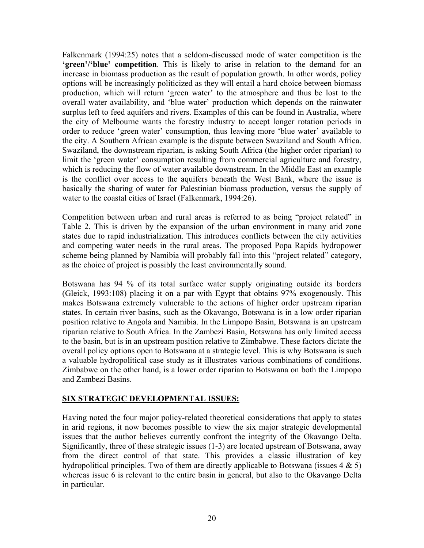Falkenmark (1994:25) notes that a seldom-discussed mode of water competition is the **'green'/'blue' competition**. This is likely to arise in relation to the demand for an increase in biomass production as the result of population growth. In other words, policy options will be increasingly politicized as they will entail a hard choice between biomass production, which will return 'green water' to the atmosphere and thus be lost to the overall water availability, and 'blue water' production which depends on the rainwater surplus left to feed aquifers and rivers. Examples of this can be found in Australia, where the city of Melbourne wants the forestry industry to accept longer rotation periods in order to reduce 'green water' consumption, thus leaving more 'blue water' available to the city. A Southern African example is the dispute between Swaziland and South Africa. Swaziland, the downstream riparian, is asking South Africa (the higher order riparian) to limit the 'green water' consumption resulting from commercial agriculture and forestry, which is reducing the flow of water available downstream. In the Middle East an example is the conflict over access to the aquifers beneath the West Bank, where the issue is basically the sharing of water for Palestinian biomass production, versus the supply of water to the coastal cities of Israel (Falkenmark, 1994:26).

Competition between urban and rural areas is referred to as being "project related" in Table 2. This is driven by the expansion of the urban environment in many arid zone states due to rapid industrialization. This introduces conflicts between the city activities and competing water needs in the rural areas. The proposed Popa Rapids hydropower scheme being planned by Namibia will probably fall into this "project related" category, as the choice of project is possibly the least environmentally sound.

Botswana has 94 % of its total surface water supply originating outside its borders (Gleick, 1993:108) placing it on a par with Egypt that obtains 97% exogenously. This makes Botswana extremely vulnerable to the actions of higher order upstream riparian states. In certain river basins, such as the Okavango, Botswana is in a low order riparian position relative to Angola and Namibia. In the Limpopo Basin, Botswana is an upstream riparian relative to South Africa. In the Zambezi Basin, Botswana has only limited access to the basin, but is in an upstream position relative to Zimbabwe. These factors dictate the overall policy options open to Botswana at a strategic level. This is why Botswana is such a valuable hydropolitical case study as it illustrates various combinations of conditions. Zimbabwe on the other hand, is a lower order riparian to Botswana on both the Limpopo and Zambezi Basins.

## **SIX STRATEGIC DEVELOPMENTAL ISSUES:**

Having noted the four major policy-related theoretical considerations that apply to states in arid regions, it now becomes possible to view the six major strategic developmental issues that the author believes currently confront the integrity of the Okavango Delta. Significantly, three of these strategic issues (1-3) are located upstream of Botswana, away from the direct control of that state. This provides a classic illustration of key hydropolitical principles. Two of them are directly applicable to Botswana (issues  $4 \& 5$ ) whereas issue 6 is relevant to the entire basin in general, but also to the Okavango Delta in particular.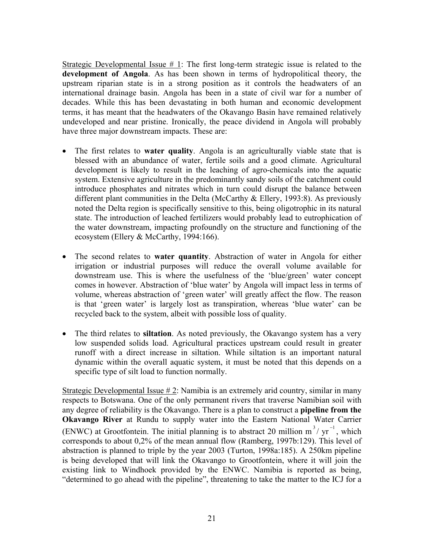Strategic Developmental Issue  $# 1$ : The first long-term strategic issue is related to the **development of Angola**. As has been shown in terms of hydropolitical theory, the upstream riparian state is in a strong position as it controls the headwaters of an international drainage basin. Angola has been in a state of civil war for a number of decades. While this has been devastating in both human and economic development terms, it has meant that the headwaters of the Okavango Basin have remained relatively undeveloped and near pristine. Ironically, the peace dividend in Angola will probably have three major downstream impacts. These are:

- The first relates to **water quality**. Angola is an agriculturally viable state that is blessed with an abundance of water, fertile soils and a good climate. Agricultural development is likely to result in the leaching of agro-chemicals into the aquatic system. Extensive agriculture in the predominantly sandy soils of the catchment could introduce phosphates and nitrates which in turn could disrupt the balance between different plant communities in the Delta (McCarthy & Ellery, 1993:8). As previously noted the Delta region is specifically sensitive to this, being oligotrophic in its natural state. The introduction of leached fertilizers would probably lead to eutrophication of the water downstream, impacting profoundly on the structure and functioning of the ecosystem (Ellery & McCarthy, 1994:166).
- The second relates to **water quantity**. Abstraction of water in Angola for either irrigation or industrial purposes will reduce the overall volume available for downstream use. This is where the usefulness of the 'blue/green' water concept comes in however. Abstraction of 'blue water' by Angola will impact less in terms of volume, whereas abstraction of 'green water' will greatly affect the flow. The reason is that 'green water' is largely lost as transpiration, whereas 'blue water' can be recycled back to the system, albeit with possible loss of quality.
- The third relates to **siltation**. As noted previously, the Okavango system has a very low suspended solids load. Agricultural practices upstream could result in greater runoff with a direct increase in siltation. While siltation is an important natural dynamic within the overall aquatic system, it must be noted that this depends on a specific type of silt load to function normally.

Strategic Developmental Issue  $\# 2$ : Namibia is an extremely arid country, similar in many respects to Botswana. One of the only permanent rivers that traverse Namibian soil with any degree of reliability is the Okavango. There is a plan to construct a **pipeline from the Okavango River** at Rundu to supply water into the Eastern National Water Carrier (ENWC) at Grootfontein. The initial planning is to abstract 20 million  $m^3 / yr^{-1}$ , which corresponds to about 0,2% of the mean annual flow (Ramberg, 1997b:129). This level of abstraction is planned to triple by the year 2003 (Turton, 1998a:185). A 250km pipeline is being developed that will link the Okavango to Grootfontein, where it will join the existing link to Windhoek provided by the ENWC. Namibia is reported as being, "determined to go ahead with the pipeline", threatening to take the matter to the ICJ for a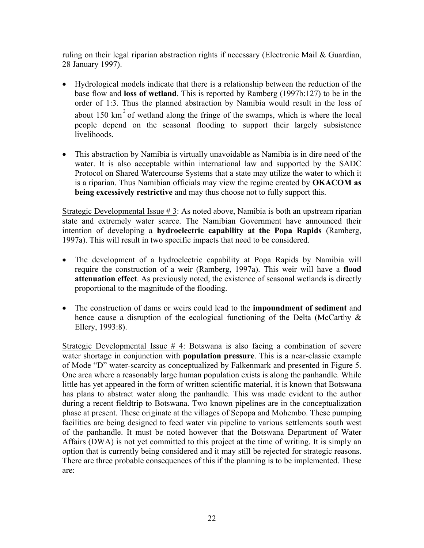ruling on their legal riparian abstraction rights if necessary (Electronic Mail & Guardian, 28 January 1997).

- Hydrological models indicate that there is a relationship between the reduction of the base flow and **loss of wetland**. This is reported by Ramberg (1997b:127) to be in the order of 1:3. Thus the planned abstraction by Namibia would result in the loss of about 150  $km<sup>2</sup>$  of wetland along the fringe of the swamps, which is where the local people depend on the seasonal flooding to support their largely subsistence livelihoods.
- This abstraction by Namibia is virtually unavoidable as Namibia is in dire need of the water. It is also acceptable within international law and supported by the SADC Protocol on Shared Watercourse Systems that a state may utilize the water to which it is a riparian. Thus Namibian officials may view the regime created by **OKACOM as being excessively restrictive** and may thus choose not to fully support this.

Strategic Developmental Issue # 3: As noted above, Namibia is both an upstream riparian state and extremely water scarce. The Namibian Government have announced their intention of developing a **hydroelectric capability at the Popa Rapids** (Ramberg, 1997a). This will result in two specific impacts that need to be considered.

- The development of a hydroelectric capability at Popa Rapids by Namibia will require the construction of a weir (Ramberg, 1997a). This weir will have a **flood attenuation effect**. As previously noted, the existence of seasonal wetlands is directly proportional to the magnitude of the flooding.
- The construction of dams or weirs could lead to the **impoundment of sediment** and hence cause a disruption of the ecological functioning of the Delta (McCarthy & Ellery, 1993:8).

Strategic Developmental Issue # 4: Botswana is also facing a combination of severe water shortage in conjunction with **population pressure**. This is a near-classic example of Mode "D" water-scarcity as conceptualized by Falkenmark and presented in Figure 5. One area where a reasonably large human population exists is along the panhandle. While little has yet appeared in the form of written scientific material, it is known that Botswana has plans to abstract water along the panhandle. This was made evident to the author during a recent fieldtrip to Botswana. Two known pipelines are in the conceptualization phase at present. These originate at the villages of Sepopa and Mohembo. These pumping facilities are being designed to feed water via pipeline to various settlements south west of the panhandle. It must be noted however that the Botswana Department of Water Affairs (DWA) is not yet committed to this project at the time of writing. It is simply an option that is currently being considered and it may still be rejected for strategic reasons. There are three probable consequences of this if the planning is to be implemented. These are: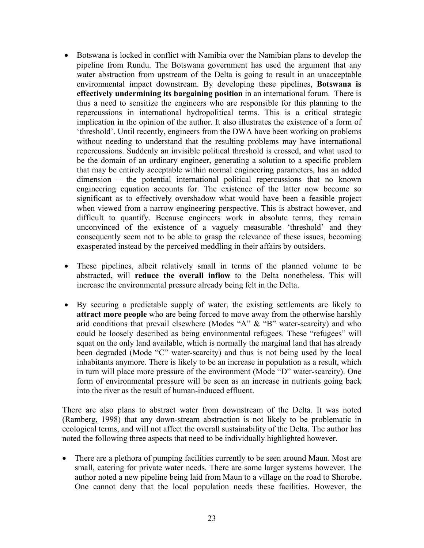- Botswana is locked in conflict with Namibia over the Namibian plans to develop the pipeline from Rundu. The Botswana government has used the argument that any water abstraction from upstream of the Delta is going to result in an unacceptable environmental impact downstream. By developing these pipelines, **Botswana is effectively undermining its bargaining position** in an international forum. There is thus a need to sensitize the engineers who are responsible for this planning to the repercussions in international hydropolitical terms. This is a critical strategic implication in the opinion of the author. It also illustrates the existence of a form of 'threshold'. Until recently, engineers from the DWA have been working on problems without needing to understand that the resulting problems may have international repercussions. Suddenly an invisible political threshold is crossed, and what used to be the domain of an ordinary engineer, generating a solution to a specific problem that may be entirely acceptable within normal engineering parameters, has an added dimension – the potential international political repercussions that no known engineering equation accounts for. The existence of the latter now become so significant as to effectively overshadow what would have been a feasible project when viewed from a narrow engineering perspective. This is abstract however, and difficult to quantify. Because engineers work in absolute terms, they remain unconvinced of the existence of a vaguely measurable 'threshold' and they consequently seem not to be able to grasp the relevance of these issues, becoming exasperated instead by the perceived meddling in their affairs by outsiders.
- These pipelines, albeit relatively small in terms of the planned volume to be abstracted, will **reduce the overall inflow** to the Delta nonetheless. This will increase the environmental pressure already being felt in the Delta.
- By securing a predictable supply of water, the existing settlements are likely to **attract more people** who are being forced to move away from the otherwise harshly arid conditions that prevail elsewhere (Modes "A" & "B" water-scarcity) and who could be loosely described as being environmental refugees. These "refugees" will squat on the only land available, which is normally the marginal land that has already been degraded (Mode "C" water-scarcity) and thus is not being used by the local inhabitants anymore. There is likely to be an increase in population as a result, which in turn will place more pressure of the environment (Mode "D" water-scarcity). One form of environmental pressure will be seen as an increase in nutrients going back into the river as the result of human-induced effluent.

There are also plans to abstract water from downstream of the Delta. It was noted (Ramberg, 1998) that any down-stream abstraction is not likely to be problematic in ecological terms, and will not affect the overall sustainability of the Delta. The author has noted the following three aspects that need to be individually highlighted however.

• There are a plethora of pumping facilities currently to be seen around Maun. Most are small, catering for private water needs. There are some larger systems however. The author noted a new pipeline being laid from Maun to a village on the road to Shorobe. One cannot deny that the local population needs these facilities. However, the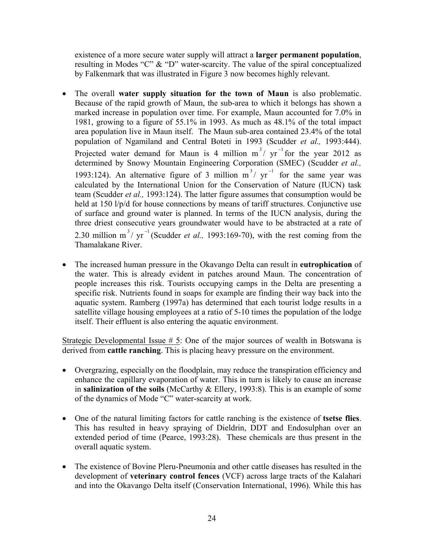existence of a more secure water supply will attract a **larger permanent population**, resulting in Modes "C" & "D" water-scarcity. The value of the spiral conceptualized by Falkenmark that was illustrated in Figure 3 now becomes highly relevant.

- The overall **water supply situation for the town of Maun** is also problematic. Because of the rapid growth of Maun, the sub-area to which it belongs has shown a marked increase in population over time. For example, Maun accounted for 7.0% in 1981, growing to a figure of 55.1% in 1993. As much as 48.1% of the total impact area population live in Maun itself. The Maun sub-area contained 23.4% of the total population of Ngamiland and Central Boteti in 1993 (Scudder *et al.,* 1993:444). Projected water demand for Maun is 4 million  $m^3/yr^{-1}$  for the year 2012 as determined by Snowy Mountain Engineering Corporation (SMEC) (Scudder *et al.,* 1993:124). An alternative figure of 3 million  $m^3 / yr^{-1}$  for the same year was calculated by the International Union for the Conservation of Nature (IUCN) task team (Scudder *et al.,* 1993:124). The latter figure assumes that consumption would be held at 150 l/p/d for house connections by means of tariff structures. Conjunctive use of surface and ground water is planned. In terms of the IUCN analysis, during the three driest consecutive years groundwater would have to be abstracted at a rate of 2.30 million m<sup>3</sup>/ yr<sup>-1</sup> (Scudder *et al.*, 1993:169-70), with the rest coming from the Thamalakane River.
- The increased human pressure in the Okavango Delta can result in **eutrophication** of the water. This is already evident in patches around Maun. The concentration of people increases this risk. Tourists occupying camps in the Delta are presenting a specific risk. Nutrients found in soaps for example are finding their way back into the aquatic system. Ramberg (1997a) has determined that each tourist lodge results in a satellite village housing employees at a ratio of 5-10 times the population of the lodge itself. Their effluent is also entering the aquatic environment.

Strategic Developmental Issue # 5: One of the major sources of wealth in Botswana is derived from **cattle ranching**. This is placing heavy pressure on the environment.

- Overgrazing, especially on the floodplain, may reduce the transpiration efficiency and enhance the capillary evaporation of water. This in turn is likely to cause an increase in **salinization of the soils** (McCarthy & Ellery, 1993:8). This is an example of some of the dynamics of Mode "C" water-scarcity at work.
- One of the natural limiting factors for cattle ranching is the existence of **tsetse flies**. This has resulted in heavy spraying of Dieldrin, DDT and Endosulphan over an extended period of time (Pearce, 1993:28). These chemicals are thus present in the overall aquatic system.
- The existence of Bovine Pleru-Pneumonia and other cattle diseases has resulted in the development of **veterinary control fences** (VCF) across large tracts of the Kalahari and into the Okavango Delta itself (Conservation International, 1996). While this has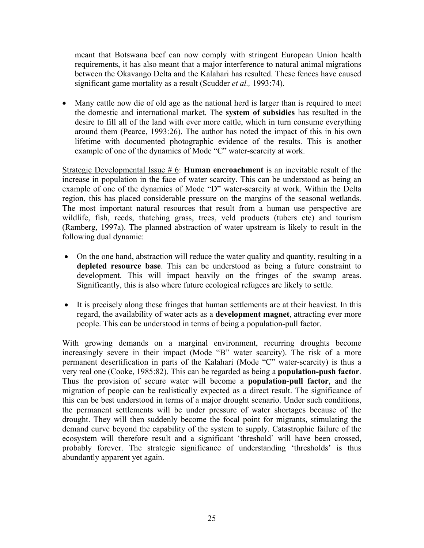meant that Botswana beef can now comply with stringent European Union health requirements, it has also meant that a major interference to natural animal migrations between the Okavango Delta and the Kalahari has resulted. These fences have caused significant game mortality as a result (Scudder *et al.,* 1993:74).

• Many cattle now die of old age as the national herd is larger than is required to meet the domestic and international market. The **system of subsidies** has resulted in the desire to fill all of the land with ever more cattle, which in turn consume everything around them (Pearce, 1993:26). The author has noted the impact of this in his own lifetime with documented photographic evidence of the results. This is another example of one of the dynamics of Mode "C" water-scarcity at work.

Strategic Developmental Issue # 6: **Human encroachment** is an inevitable result of the increase in population in the face of water scarcity. This can be understood as being an example of one of the dynamics of Mode "D" water-scarcity at work. Within the Delta region, this has placed considerable pressure on the margins of the seasonal wetlands. The most important natural resources that result from a human use perspective are wildlife, fish, reeds, thatching grass, trees, veld products (tubers etc) and tourism (Ramberg, 1997a). The planned abstraction of water upstream is likely to result in the following dual dynamic:

- On the one hand, abstraction will reduce the water quality and quantity, resulting in a **depleted resource base**. This can be understood as being a future constraint to development. This will impact heavily on the fringes of the swamp areas. Significantly, this is also where future ecological refugees are likely to settle.
- It is precisely along these fringes that human settlements are at their heaviest. In this regard, the availability of water acts as a **development magnet**, attracting ever more people. This can be understood in terms of being a population-pull factor.

With growing demands on a marginal environment, recurring droughts become increasingly severe in their impact (Mode "B" water scarcity). The risk of a more permanent desertification in parts of the Kalahari (Mode "C" water-scarcity) is thus a very real one (Cooke, 1985:82). This can be regarded as being a **population-push factor**. Thus the provision of secure water will become a **population-pull factor**, and the migration of people can be realistically expected as a direct result. The significance of this can be best understood in terms of a major drought scenario. Under such conditions, the permanent settlements will be under pressure of water shortages because of the drought. They will then suddenly become the focal point for migrants, stimulating the demand curve beyond the capability of the system to supply. Catastrophic failure of the ecosystem will therefore result and a significant 'threshold' will have been crossed, probably forever. The strategic significance of understanding 'thresholds' is thus abundantly apparent yet again.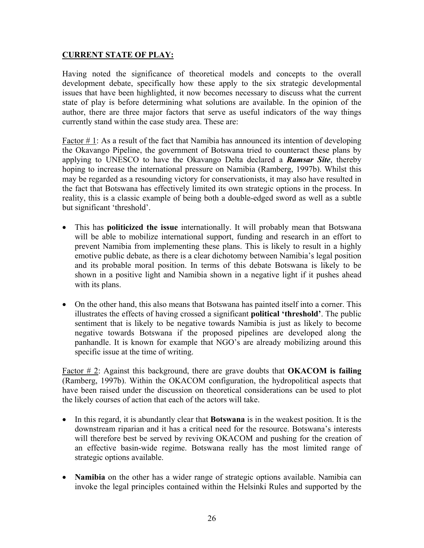## **CURRENT STATE OF PLAY:**

Having noted the significance of theoretical models and concepts to the overall development debate, specifically how these apply to the six strategic developmental issues that have been highlighted, it now becomes necessary to discuss what the current state of play is before determining what solutions are available. In the opinion of the author, there are three major factors that serve as useful indicators of the way things currently stand within the case study area. These are:

Factor # 1: As a result of the fact that Namibia has announced its intention of developing the Okavango Pipeline, the government of Botswana tried to counteract these plans by applying to UNESCO to have the Okavango Delta declared a *Ramsar Site*, thereby hoping to increase the international pressure on Namibia (Ramberg, 1997b). Whilst this may be regarded as a resounding victory for conservationists, it may also have resulted in the fact that Botswana has effectively limited its own strategic options in the process. In reality, this is a classic example of being both a double-edged sword as well as a subtle but significant 'threshold'.

- This has **politicized the issue** internationally. It will probably mean that Botswana will be able to mobilize international support, funding and research in an effort to prevent Namibia from implementing these plans. This is likely to result in a highly emotive public debate, as there is a clear dichotomy between Namibia's legal position and its probable moral position. In terms of this debate Botswana is likely to be shown in a positive light and Namibia shown in a negative light if it pushes ahead with its plans.
- On the other hand, this also means that Botswana has painted itself into a corner. This illustrates the effects of having crossed a significant **political 'threshold'**. The public sentiment that is likely to be negative towards Namibia is just as likely to become negative towards Botswana if the proposed pipelines are developed along the panhandle. It is known for example that NGO's are already mobilizing around this specific issue at the time of writing.

Factor # 2: Against this background, there are grave doubts that **OKACOM is failing** (Ramberg, 1997b). Within the OKACOM configuration, the hydropolitical aspects that have been raised under the discussion on theoretical considerations can be used to plot the likely courses of action that each of the actors will take.

- In this regard, it is abundantly clear that **Botswana** is in the weakest position. It is the downstream riparian and it has a critical need for the resource. Botswana's interests will therefore best be served by reviving OKACOM and pushing for the creation of an effective basin-wide regime. Botswana really has the most limited range of strategic options available.
- **Namibia** on the other has a wider range of strategic options available. Namibia can invoke the legal principles contained within the Helsinki Rules and supported by the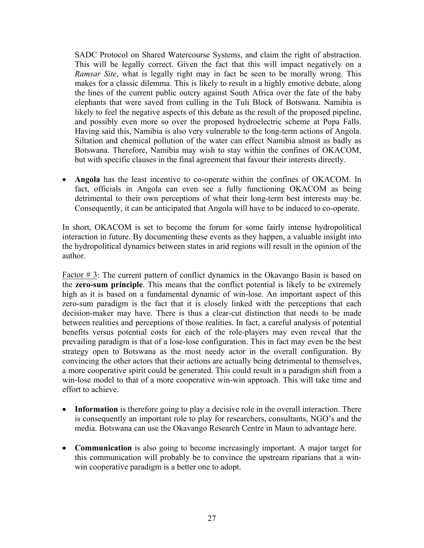SADC Protocol on Shared Watercourse Systems, and claim the right of abstraction. This will be legally correct. Given the fact that this will impact negatively on a *Ramsar Site*, what is legally right may in fact be seen to be morally wrong. This makes for a classic dilemma. This is likely to result in a highly emotive debate, along the lines of the current public outcry against South Africa over the fate of the baby elephants that were saved from culling in the Tuli Block of Botswana. Namibia is likely to feel the negative aspects of this debate as the result of the proposed pipeline, and possibly even more so over the proposed hydroelectric scheme at Popa Falls. Having said this, Namibia is also very vulnerable to the long-term actions of Angola. Siltation and chemical pollution of the water can effect Namibia almost as badly as Botswana. Therefore, Namibia may wish to stay within the confines of OKACOM, but with specific clauses in the final agreement that favour their interests directly.

• **Angola** has the least incentive to co-operate within the confines of OKACOM. In fact, officials in Angola can even see a fully functioning OKACOM as being detrimental to their own perceptions of what their long-term best interests may be. Consequently, it can be anticipated that Angola will have to be induced to co-operate.

In short, OKACOM is set to become the forum for some fairly intense hydropolitical interaction in future. By documenting these events as they happen, a valuable insight into the hydropolitical dynamics between states in arid regions will result in the opinion of the author.

Factor # 3: The current pattern of conflict dynamics in the Okavango Basin is based on the **zero-sum principle**. This means that the conflict potential is likely to be extremely high as it is based on a fundamental dynamic of win-lose. An important aspect of this zero-sum paradigm is the fact that it is closely linked with the perceptions that each decision-maker may have. There is thus a clear-cut distinction that needs to be made between realities and perceptions of those realities. In fact, a careful analysis of potential benefits versus potential costs for each of the role-players may even reveal that the prevailing paradigm is that of a lose-lose configuration. This in fact may even be the best strategy open to Botswana as the most needy actor in the overall configuration. By convincing the other actors that their actions are actually being detrimental to themselves, a more cooperative spirit could be generated. This could result in a paradigm shift from a win-lose model to that of a more cooperative win-win approach. This will take time and effort to achieve.

- **Information** is therefore going to play a decisive role in the overall interaction. There is consequently an important role to play for researchers, consultants, NGO's and the media. Botswana can use the Okavango Research Centre in Maun to advantage here.
- **Communication** is also going to become increasingly important. A major target for this communication will probably be to convince the upstream riparians that a winwin cooperative paradigm is a better one to adopt.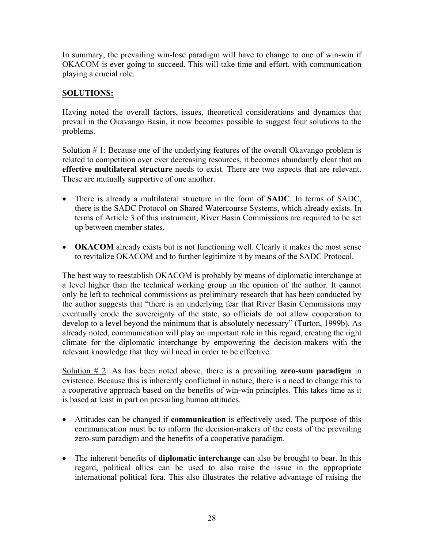In summary, the prevailing win-lose paradigm will have to change to one of win-win if OKACOM is ever going to succeed. This will take time and effort, with communication playing a crucial role.

# **SOLUTIONS:**

Having noted the overall factors, issues, theoretical considerations and dynamics that prevail in the Okavango Basin, it now becomes possible to suggest four solutions to the problems.

Solution  $# 1$ : Because one of the underlying features of the overall Okavango problem is related to competition over ever decreasing resources, it becomes abundantly clear that an **effective multilateral structure** needs to exist. There are two aspects that are relevant. These are mutually supportive of one another.

- There is already a multilateral structure in the form of **SADC**. In terms of SADC, there is the SADC Protocol on Shared Watercourse Systems, which already exists. In terms of Article 3 of this instrument, River Basin Commissions are required to be set up between member states.
- **OKACOM** already exists but is not functioning well. Clearly it makes the most sense to revitalize OKACOM and to further legitimize it by means of the SADC Protocol.

The best way to reestablish OKACOM is probably by means of diplomatic interchange at a level higher than the technical working group in the opinion of the author. It cannot only be left to technical commissions as preliminary research that has been conducted by the author suggests that "there is an underlying fear that River Basin Commissions may eventually erode the sovereignty of the state, so officials do not allow cooperation to develop to a level beyond the minimum that is absolutely necessary" (Turton, 1999b). As already noted, communication will play an important role in this regard, creating the right climate for the diplomatic interchange by empowering the decision-makers with the relevant knowledge that they will need in order to be effective.

Solution # 2: As has been noted above, there is a prevailing **zero-sum paradigm** in existence. Because this is inherently conflictual in nature, there is a need to change this to a cooperative approach based on the benefits of win-win principles. This takes time as it is based at least in part on prevailing human attitudes.

- Attitudes can be changed if **communication** is effectively used. The purpose of this communication must be to inform the decision-makers of the costs of the prevailing zero-sum paradigm and the benefits of a cooperative paradigm.
- The inherent benefits of **diplomatic interchange** can also be brought to bear. In this regard, political allies can be used to also raise the issue in the appropriate international political fora. This also illustrates the relative advantage of raising the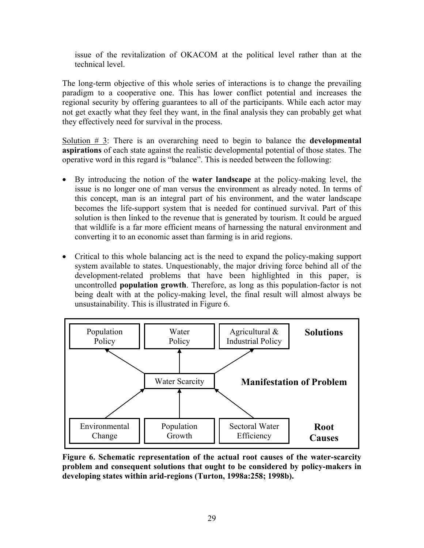issue of the revitalization of OKACOM at the political level rather than at the technical level.

The long-term objective of this whole series of interactions is to change the prevailing paradigm to a cooperative one. This has lower conflict potential and increases the regional security by offering guarantees to all of the participants. While each actor may not get exactly what they feel they want, in the final analysis they can probably get what they effectively need for survival in the process.

Solution # 3: There is an overarching need to begin to balance the **developmental aspirations** of each state against the realistic developmental potential of those states. The operative word in this regard is "balance". This is needed between the following:

- By introducing the notion of the **water landscape** at the policy-making level, the issue is no longer one of man versus the environment as already noted. In terms of this concept, man is an integral part of his environment, and the water landscape becomes the life-support system that is needed for continued survival. Part of this solution is then linked to the revenue that is generated by tourism. It could be argued that wildlife is a far more efficient means of harnessing the natural environment and converting it to an economic asset than farming is in arid regions.
- Critical to this whole balancing act is the need to expand the policy-making support system available to states. Unquestionably, the major driving force behind all of the development-related problems that have been highlighted in this paper, is uncontrolled **population growth**. Therefore, as long as this population-factor is not being dealt with at the policy-making level, the final result will almost always be unsustainability. This is illustrated in Figure 6.



**Figure 6. Schematic representation of the actual root causes of the water-scarcity problem and consequent solutions that ought to be considered by policy-makers in developing states within arid-regions (Turton, 1998a:258; 1998b).**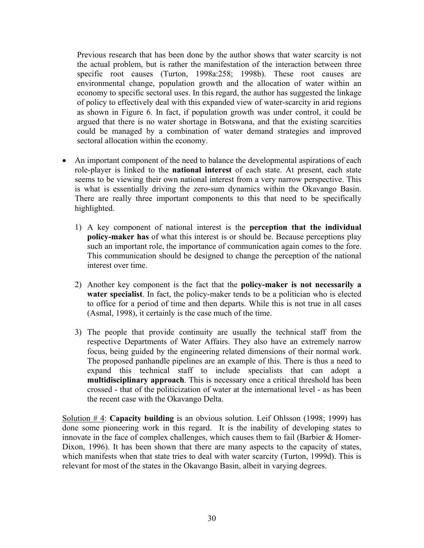Previous research that has been done by the author shows that water scarcity is not the actual problem, but is rather the manifestation of the interaction between three specific root causes (Turton, 1998a:258; 1998b). These root causes are environmental change, population growth and the allocation of water within an economy to specific sectoral uses. In this regard, the author has suggested the linkage of policy to effectively deal with this expanded view of water-scarcity in arid regions as shown in Figure 6. In fact, if population growth was under control, it could be argued that there is no water shortage in Botswana, and that the existing scarcities could be managed by a combination of water demand strategies and improved sectoral allocation within the economy.

- An important component of the need to balance the developmental aspirations of each role-player is linked to the **national interest** of each state. At present, each state seems to be viewing their own national interest from a very narrow perspective. This is what is essentially driving the zero-sum dynamics within the Okavango Basin. There are really three important components to this that need to be specifically highlighted.
	- 1) A key component of national interest is the **perception that the individual policy-maker has** of what this interest is or should be. Because perceptions play such an important role, the importance of communication again comes to the fore. This communication should be designed to change the perception of the national interest over time.
	- 2) Another key component is the fact that the **policy-maker is not necessarily a water specialist**. In fact, the policy-maker tends to be a politician who is elected to office for a period of time and then departs. While this is not true in all cases (Asmal, 1998), it certainly is the case much of the time.
	- 3) The people that provide continuity are usually the technical staff from the respective Departments of Water Affairs. They also have an extremely narrow focus, being guided by the engineering related dimensions of their normal work. The proposed panhandle pipelines are an example of this. There is thus a need to expand this technical staff to include specialists that can adopt a **multidisciplinary approach**. This is necessary once a critical threshold has been crossed - that of the politicization of water at the international level - as has been the recent case with the Okavango Delta.

Solution # 4: **Capacity building** is an obvious solution. Leif Ohlsson (1998; 1999) has done some pioneering work in this regard. It is the inability of developing states to innovate in the face of complex challenges, which causes them to fail (Barbier & Homer-Dixon, 1996). It has been shown that there are many aspects to the capacity of states, which manifests when that state tries to deal with water scarcity (Turton, 1999d). This is relevant for most of the states in the Okavango Basin, albeit in varying degrees.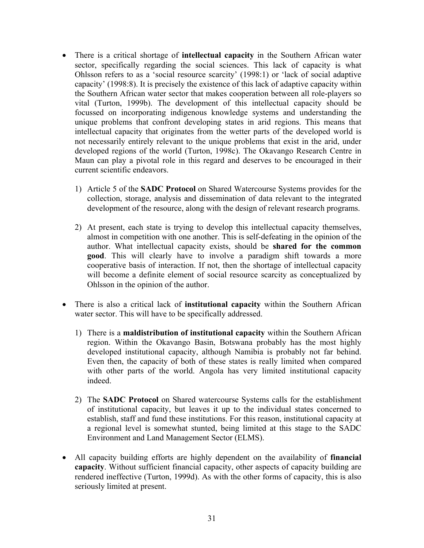- There is a critical shortage of **intellectual capacity** in the Southern African water sector, specifically regarding the social sciences. This lack of capacity is what Ohlsson refers to as a 'social resource scarcity' (1998:1) or 'lack of social adaptive capacity' (1998:8). It is precisely the existence of this lack of adaptive capacity within the Southern African water sector that makes cooperation between all role-players so vital (Turton, 1999b). The development of this intellectual capacity should be focussed on incorporating indigenous knowledge systems and understanding the unique problems that confront developing states in arid regions. This means that intellectual capacity that originates from the wetter parts of the developed world is not necessarily entirely relevant to the unique problems that exist in the arid, under developed regions of the world (Turton, 1998c). The Okavango Research Centre in Maun can play a pivotal role in this regard and deserves to be encouraged in their current scientific endeavors.
	- 1) Article 5 of the **SADC Protocol** on Shared Watercourse Systems provides for the collection, storage, analysis and dissemination of data relevant to the integrated development of the resource, along with the design of relevant research programs.
	- 2) At present, each state is trying to develop this intellectual capacity themselves, almost in competition with one another. This is self-defeating in the opinion of the author. What intellectual capacity exists, should be **shared for the common good**. This will clearly have to involve a paradigm shift towards a more cooperative basis of interaction. If not, then the shortage of intellectual capacity will become a definite element of social resource scarcity as conceptualized by Ohlsson in the opinion of the author.
- There is also a critical lack of **institutional capacity** within the Southern African water sector. This will have to be specifically addressed.
	- 1) There is a **maldistribution of institutional capacity** within the Southern African region. Within the Okavango Basin, Botswana probably has the most highly developed institutional capacity, although Namibia is probably not far behind. Even then, the capacity of both of these states is really limited when compared with other parts of the world. Angola has very limited institutional capacity indeed.
	- 2) The **SADC Protocol** on Shared watercourse Systems calls for the establishment of institutional capacity, but leaves it up to the individual states concerned to establish, staff and fund these institutions. For this reason, institutional capacity at a regional level is somewhat stunted, being limited at this stage to the SADC Environment and Land Management Sector (ELMS).
- All capacity building efforts are highly dependent on the availability of **financial capacity**. Without sufficient financial capacity, other aspects of capacity building are rendered ineffective (Turton, 1999d). As with the other forms of capacity, this is also seriously limited at present.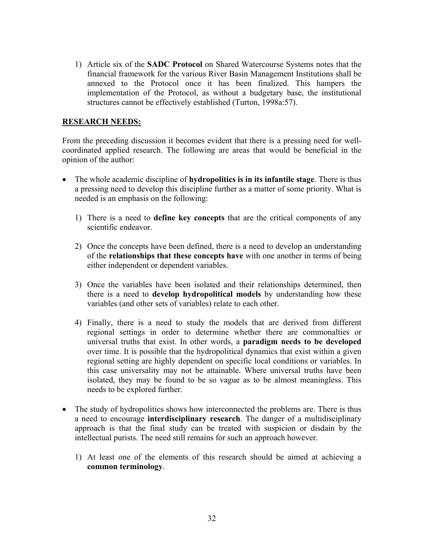1) Article six of the **SADC Protocol** on Shared Watercourse Systems notes that the financial framework for the various River Basin Management Institutions shall be annexed to the Protocol once it has been finalized. This hampers the implementation of the Protocol, as without a budgetary base, the institutional structures cannot be effectively established (Turton, 1998a:57).

#### **RESEARCH NEEDS:**

From the preceding discussion it becomes evident that there is a pressing need for wellcoordinated applied research. The following are areas that would be beneficial in the opinion of the author:

- The whole academic discipline of **hydropolitics is in its infantile stage**. There is thus a pressing need to develop this discipline further as a matter of some priority. What is needed is an emphasis on the following:
	- 1) There is a need to **define key concepts** that are the critical components of any scientific endeavor.
	- 2) Once the concepts have been defined, there is a need to develop an understanding of the **relationships that these concepts have** with one another in terms of being either independent or dependent variables.
	- 3) Once the variables have been isolated and their relationships determined, then there is a need to **develop hydropolitical models** by understanding how these variables (and other sets of variables) relate to each other.
	- 4) Finally, there is a need to study the models that are derived from different regional settings in order to determine whether there are commonalties or universal truths that exist. In other words, a **paradigm needs to be developed** over time. It is possible that the hydropolitical dynamics that exist within a given regional setting are highly dependent on specific local conditions or variables. In this case universality may not be attainable. Where universal truths have been isolated, they may be found to be so vague as to be almost meaningless. This needs to be explored further.
- The study of hydropolitics shows how interconnected the problems are. There is thus a need to encourage **interdisciplinary research**. The danger of a multidisciplinary approach is that the final study can be treated with suspicion or disdain by the intellectual purists. The need still remains for such an approach however.
	- 1) At least one of the elements of this research should be aimed at achieving a **common terminology**.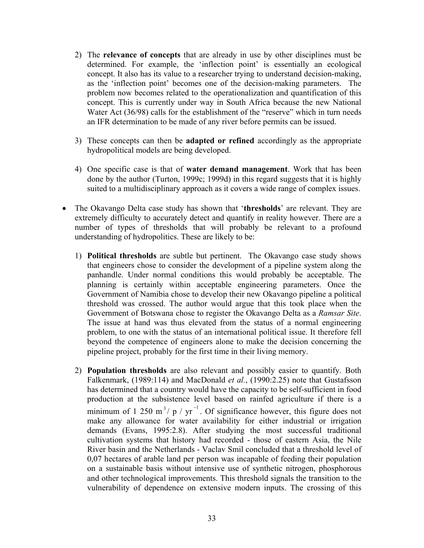- 2) The **relevance of concepts** that are already in use by other disciplines must be determined. For example, the 'inflection point' is essentially an ecological concept. It also has its value to a researcher trying to understand decision-making, as the 'inflection point' becomes one of the decision-making parameters. The problem now becomes related to the operationalization and quantification of this concept. This is currently under way in South Africa because the new National Water Act (36/98) calls for the establishment of the "reserve" which in turn needs an IFR determination to be made of any river before permits can be issued.
- 3) These concepts can then be **adapted or refined** accordingly as the appropriate hydropolitical models are being developed.
- 4) One specific case is that of **water demand management**. Work that has been done by the author (Turton, 1999c; 1999d) in this regard suggests that it is highly suited to a multidisciplinary approach as it covers a wide range of complex issues.
- The Okavango Delta case study has shown that '**thresholds**' are relevant. They are extremely difficulty to accurately detect and quantify in reality however. There are a number of types of thresholds that will probably be relevant to a profound understanding of hydropolitics. These are likely to be:
	- 1) **Political thresholds** are subtle but pertinent. The Okavango case study shows that engineers chose to consider the development of a pipeline system along the panhandle. Under normal conditions this would probably be acceptable. The planning is certainly within acceptable engineering parameters. Once the Government of Namibia chose to develop their new Okavango pipeline a political threshold was crossed. The author would argue that this took place when the Government of Botswana chose to register the Okavango Delta as a *Ramsar Site*. The issue at hand was thus elevated from the status of a normal engineering problem, to one with the status of an international political issue. It therefore fell beyond the competence of engineers alone to make the decision concerning the pipeline project, probably for the first time in their living memory.
	- 2) **Population thresholds** are also relevant and possibly easier to quantify. Both Falkenmark, (1989:114) and MacDonald *et al.*, (1990:2.25) note that Gustafsson has determined that a country would have the capacity to be self-sufficient in food production at the subsistence level based on rainfed agriculture if there is a minimum of 1 250 m<sup>3</sup>/ p / yr<sup>-1</sup>. Of significance however, this figure does not make any allowance for water availability for either industrial or irrigation demands (Evans, 1995:2.8). After studying the most successful traditional cultivation systems that history had recorded - those of eastern Asia, the Nile River basin and the Netherlands - Vaclav Smil concluded that a threshold level of 0,07 hectares of arable land per person was incapable of feeding their population on a sustainable basis without intensive use of synthetic nitrogen, phosphorous and other technological improvements. This threshold signals the transition to the vulnerability of dependence on extensive modern inputs. The crossing of this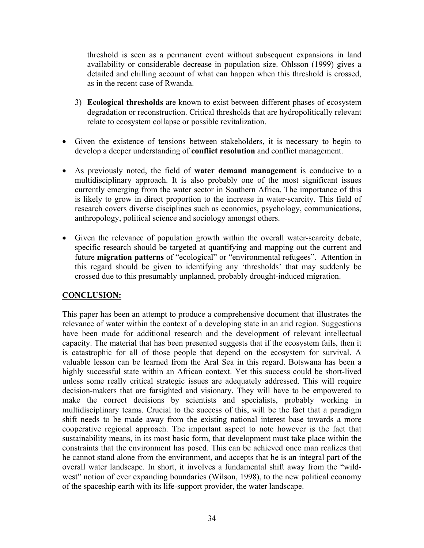threshold is seen as a permanent event without subsequent expansions in land availability or considerable decrease in population size. Ohlsson (1999) gives a detailed and chilling account of what can happen when this threshold is crossed, as in the recent case of Rwanda.

- 3) **Ecological thresholds** are known to exist between different phases of ecosystem degradation or reconstruction. Critical thresholds that are hydropolitically relevant relate to ecosystem collapse or possible revitalization.
- Given the existence of tensions between stakeholders, it is necessary to begin to develop a deeper understanding of **conflict resolution** and conflict management.
- As previously noted, the field of **water demand management** is conducive to a multidisciplinary approach. It is also probably one of the most significant issues currently emerging from the water sector in Southern Africa. The importance of this is likely to grow in direct proportion to the increase in water-scarcity. This field of research covers diverse disciplines such as economics, psychology, communications, anthropology, political science and sociology amongst others.
- Given the relevance of population growth within the overall water-scarcity debate, specific research should be targeted at quantifying and mapping out the current and future **migration patterns** of "ecological" or "environmental refugees". Attention in this regard should be given to identifying any 'thresholds' that may suddenly be crossed due to this presumably unplanned, probably drought-induced migration.

## **CONCLUSION:**

This paper has been an attempt to produce a comprehensive document that illustrates the relevance of water within the context of a developing state in an arid region. Suggestions have been made for additional research and the development of relevant intellectual capacity. The material that has been presented suggests that if the ecosystem fails, then it is catastrophic for all of those people that depend on the ecosystem for survival. A valuable lesson can be learned from the Aral Sea in this regard. Botswana has been a highly successful state within an African context. Yet this success could be short-lived unless some really critical strategic issues are adequately addressed. This will require decision-makers that are farsighted and visionary. They will have to be empowered to make the correct decisions by scientists and specialists, probably working in multidisciplinary teams. Crucial to the success of this, will be the fact that a paradigm shift needs to be made away from the existing national interest base towards a more cooperative regional approach. The important aspect to note however is the fact that sustainability means, in its most basic form, that development must take place within the constraints that the environment has posed. This can be achieved once man realizes that he cannot stand alone from the environment, and accepts that he is an integral part of the overall water landscape. In short, it involves a fundamental shift away from the "wildwest" notion of ever expanding boundaries (Wilson, 1998), to the new political economy of the spaceship earth with its life-support provider, the water landscape.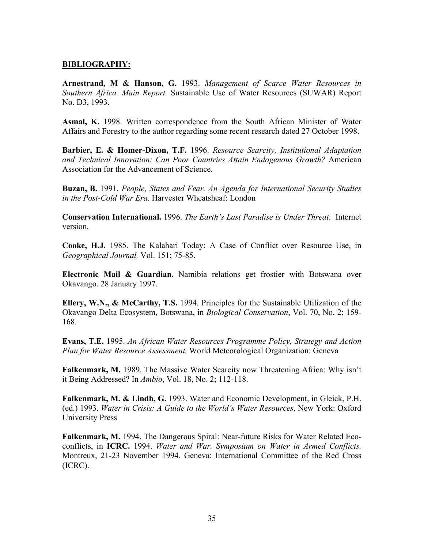#### **BIBLIOGRAPHY:**

**Arnestrand, M & Hanson, G.** 1993. *Management of Scarce Water Resources in Southern Africa. Main Report.* Sustainable Use of Water Resources (SUWAR) Report No. D3, 1993.

**Asmal, K.** 1998. Written correspondence from the South African Minister of Water Affairs and Forestry to the author regarding some recent research dated 27 October 1998.

**Barbier, E. & Homer-Dixon, T.F.** 1996. *Resource Scarcity, Institutional Adaptation and Technical Innovation: Can Poor Countries Attain Endogenous Growth?* American Association for the Advancement of Science.

**Buzan, B.** 1991. *People, States and Fear. An Agenda for International Security Studies in the Post-Cold War Era.* Harvester Wheatsheaf: London

**Conservation International.** 1996. *The Earth's Last Paradise is Under Threat*. Internet version.

**Cooke, H.J.** 1985. The Kalahari Today: A Case of Conflict over Resource Use, in *Geographical Journal,* Vol. 151; 75-85.

**Electronic Mail & Guardian**. Namibia relations get frostier with Botswana over Okavango. 28 January 1997.

**Ellery, W.N., & McCarthy, T.S.** 1994. Principles for the Sustainable Utilization of the Okavango Delta Ecosystem, Botswana, in *Biological Conservation*, Vol. 70, No. 2; 159- 168.

**Evans, T.E.** 1995. *An African Water Resources Programme Policy, Strategy and Action Plan for Water Resource Assessment.* World Meteorological Organization: Geneva

**Falkenmark, M.** 1989. The Massive Water Scarcity now Threatening Africa: Why isn't it Being Addressed? In *Ambio*, Vol. 18, No. 2; 112-118.

**Falkenmark, M. & Lindh, G.** 1993. Water and Economic Development, in Gleick, P.H. (ed.) 1993. *Water in Crisis: A Guide to the World's Water Resources*. New York: Oxford University Press

**Falkenmark, M.** 1994. The Dangerous Spiral: Near-future Risks for Water Related Ecoconflicts, in **ICRC.** 1994. *Water and War. Symposium on Water in Armed Conflicts.* Montreux, 21-23 November 1994. Geneva: International Committee of the Red Cross (ICRC).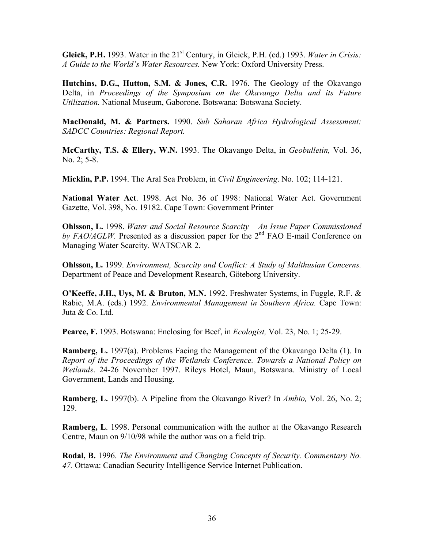Gleick, P.H. 1993. Water in the 21<sup>st</sup> Century, in Gleick, P.H. (ed.) 1993. Water in Crisis: *A Guide to the World's Water Resources.* New York: Oxford University Press.

**Hutchins, D.G., Hutton, S.M. & Jones, C.R.** 1976. The Geology of the Okavango Delta, in *Proceedings of the Symposium on the Okavango Delta and its Future Utilization.* National Museum, Gaborone. Botswana: Botswana Society.

**MacDonald, M. & Partners.** 1990. *Sub Saharan Africa Hydrological Assessment: SADCC Countries: Regional Report.* 

**McCarthy, T.S. & Ellery, W.N.** 1993. The Okavango Delta, in *Geobulletin,* Vol. 36, No. 2; 5-8.

**Micklin, P.P.** 1994. The Aral Sea Problem, in *Civil Engineering*. No. 102; 114-121.

**National Water Act**. 1998. Act No. 36 of 1998: National Water Act. Government Gazette, Vol. 398, No. 19182. Cape Town: Government Printer

**Ohlsson, L.** 1998. *Water and Social Resource Scarcity – An Issue Paper Commissioned*  by FAO/AGLW. Presented as a discussion paper for the 2<sup>nd</sup> FAO E-mail Conference on Managing Water Scarcity. WATSCAR 2.

**Ohlsson, L.** 1999. *Environment, Scarcity and Conflict: A Study of Malthusian Concerns.* Department of Peace and Development Research, Göteborg University.

**O'Keeffe, J.H., Uys, M. & Bruton, M.N.** 1992. Freshwater Systems, in Fuggle, R.F. & Rabie, M.A. (eds.) 1992. *Environmental Management in Southern Africa.* Cape Town: Juta & Co. Ltd.

**Pearce, F.** 1993. Botswana: Enclosing for Beef, in *Ecologist,* Vol. 23, No. 1; 25-29.

**Ramberg, L.** 1997(a). Problems Facing the Management of the Okavango Delta (1). In *Report of the Proceedings of the Wetlands Conference. Towards a National Policy on Wetlands*. 24-26 November 1997. Rileys Hotel, Maun, Botswana. Ministry of Local Government, Lands and Housing.

**Ramberg, L.** 1997(b). A Pipeline from the Okavango River? In *Ambio,* Vol. 26, No. 2; 129.

**Ramberg, L**. 1998. Personal communication with the author at the Okavango Research Centre, Maun on 9/10/98 while the author was on a field trip.

**Rodal, B.** 1996. *The Environment and Changing Concepts of Security. Commentary No. 47.* Ottawa: Canadian Security Intelligence Service Internet Publication.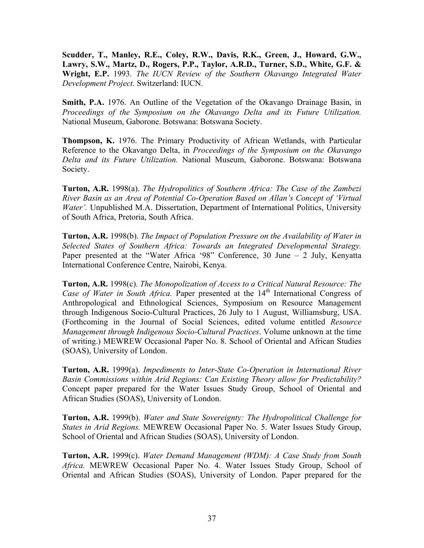**Scudder, T., Manley, R.E., Coley, R.W., Davis, R.K., Green, J., Howard, G.W., Lawry, S.W., Martz, D., Rogers, P.P., Taylor, A.R.D., Turner, S.D., White, G.F. & Wright, E.P.** 1993. *The IUCN Review of the Southern Okavango Integrated Water Development Project.* Switzerland: IUCN.

**Smith, P.A.** 1976. An Outline of the Vegetation of the Okavango Drainage Basin, in *Proceedings of the Symposium on the Okavango Delta and its Future Utilization.* National Museum, Gaborone. Botswana: Botswana Society.

**Thompson, K.** 1976. The Primary Productivity of African Wetlands, with Particular Reference to the Okavango Delta, in *Proceedings of the Symposium on the Okavango Delta and its Future Utilization.* National Museum, Gaborone. Botswana: Botswana Society.

**Turton, A.R.** 1998(a). *The Hydropolitics of Southern Africa: The Case of the Zambezi River Basin as an Area of Potential Co-Operation Based on Allan's Concept of 'Virtual Water'*. Unpublished M.A. Dissertation, Department of International Politics, University of South Africa, Pretoria, South Africa.

**Turton, A.R.** 1998(b). *The Impact of Population Pressure on the Availability of Water in Selected States of Southern Africa: Towards an Integrated Developmental Strategy.*  Paper presented at the "Water Africa '98" Conference, 30 June – 2 July, Kenyatta International Conference Centre, Nairobi, Kenya.

**Turton, A.R.** 1998(c). *The Monopolization of Access to a Critical Natural Resource: The Case of Water in South Africa.* Paper presented at the 14<sup>th</sup> International Congress of Anthropological and Ethnological Sciences, Symposium on Resource Management through Indigenous Socio-Cultural Practices, 26 July to 1 August, Williamsburg, USA. (Forthcoming in the Journal of Social Sciences, edited volume entitled *Resource Management through Indigenous Socio-Cultural Practices*. Volume unknown at the time of writing.) MEWREW Occasional Paper No. 8. School of Oriental and African Studies (SOAS), University of London.

**Turton, A.R.** 1999(a). *Impediments to Inter-State Co-Operation in International River Basin Commissions within Arid Regions: Can Existing Theory allow for Predictability?* Concept paper prepared for the Water Issues Study Group, School of Oriental and African Studies (SOAS), University of London.

**Turton, A.R.** 1999(b). *Water and State Sovereignty: The Hydropolitical Challenge for States in Arid Regions.* MEWREW Occasional Paper No. 5. Water Issues Study Group, School of Oriental and African Studies (SOAS), University of London.

**Turton, A.R.** 1999(c). *Water Demand Management (WDM): A Case Study from South Africa.* MEWREW Occasional Paper No. 4. Water Issues Study Group, School of Oriental and African Studies (SOAS), University of London. Paper prepared for the